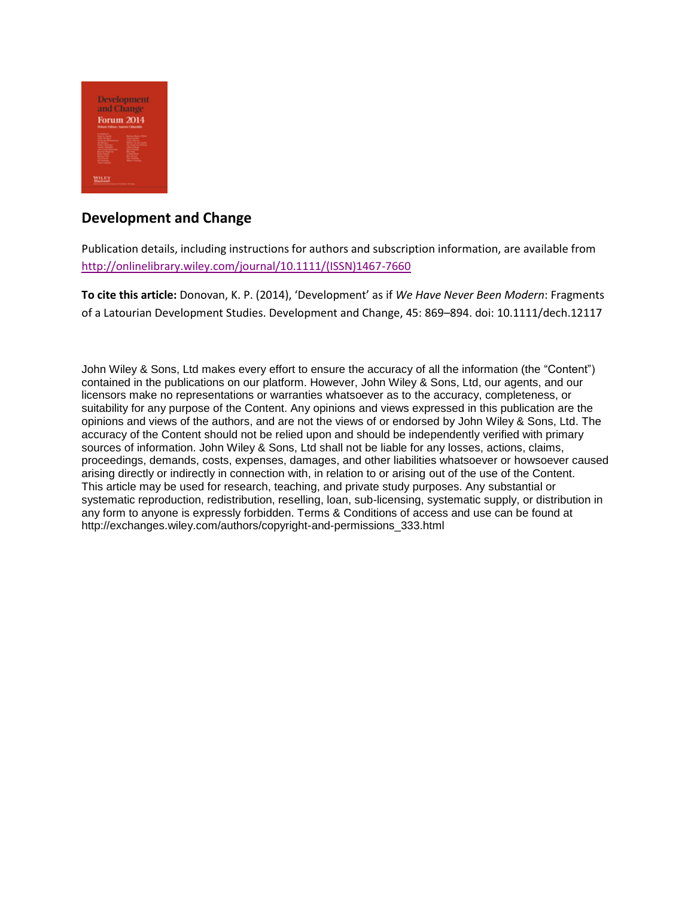

# **Development and Change**

Publication details, including instructions for authors and subscription information, are available from [http://onlinelibrary.wiley.com/journal/10.1111/\(ISSN\)1467-7660](http://onlinelibrary.wiley.com/journal/10.1111/(ISSN)1467-7660)

**To cite this article:** Donovan, K. P. (2014), 'Development' as if *We Have Never Been Modern*: Fragments of a Latourian Development Studies. Development and Change, 45: 869–894. doi: 10.1111/dech.12117

John Wiley & Sons, Ltd makes every effort to ensure the accuracy of all the information (the "Content") contained in the publications on our platform. However, John Wiley & Sons, Ltd, our agents, and our licensors make no representations or warranties whatsoever as to the accuracy, completeness, or suitability for any purpose of the Content. Any opinions and views expressed in this publication are the opinions and views of the authors, and are not the views of or endorsed by John Wiley & Sons, Ltd. The accuracy of the Content should not be relied upon and should be independently verified with primary sources of information. John Wiley & Sons, Ltd shall not be liable for any losses, actions, claims, proceedings, demands, costs, expenses, damages, and other liabilities whatsoever or howsoever caused arising directly or indirectly in connection with, in relation to or arising out of the use of the Content. This article may be used for research, teaching, and private study purposes. Any substantial or systematic reproduction, redistribution, reselling, loan, sub-licensing, systematic supply, or distribution in any form to anyone is expressly forbidden. Terms & Conditions of access and use can be found at http://exchanges.wiley.com/authors/copyright-and-permissions\_333.html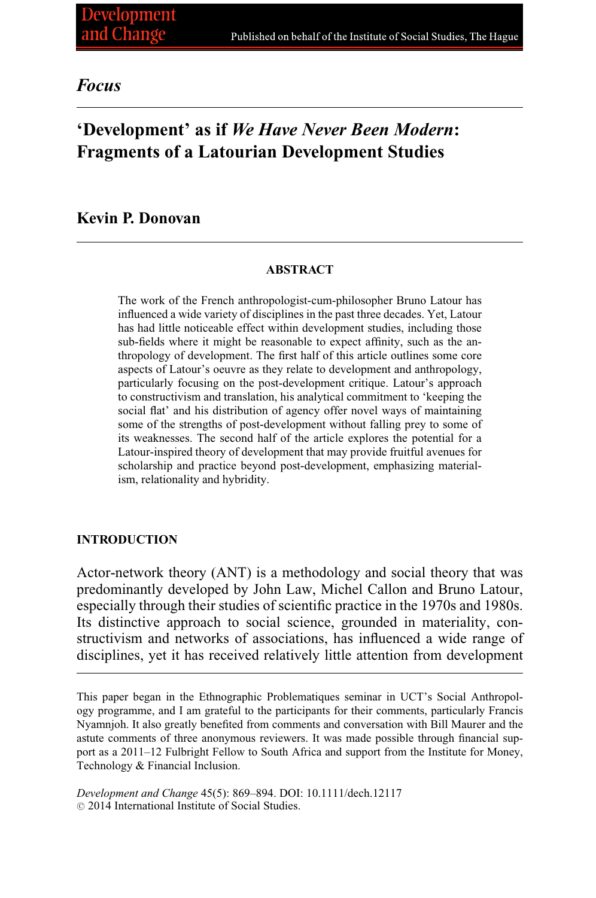# *Focus*

# **'Development' as if** *We Have Never Been Modern***: Fragments of a Latourian Development Studies**

# **Kevin P. Donovan**

#### **ABSTRACT**

The work of the French anthropologist-cum-philosopher Bruno Latour has influenced a wide variety of disciplines in the past three decades. Yet, Latour has had little noticeable effect within development studies, including those sub-fields where it might be reasonable to expect affinity, such as the anthropology of development. The first half of this article outlines some core aspects of Latour's oeuvre as they relate to development and anthropology, particularly focusing on the post-development critique. Latour's approach to constructivism and translation, his analytical commitment to 'keeping the social flat' and his distribution of agency offer novel ways of maintaining some of the strengths of post-development without falling prey to some of its weaknesses. The second half of the article explores the potential for a Latour-inspired theory of development that may provide fruitful avenues for scholarship and practice beyond post-development, emphasizing materialism, relationality and hybridity.

### **INTRODUCTION**

Actor-network theory (ANT) is a methodology and social theory that was predominantly developed by John Law, Michel Callon and Bruno Latour, especially through their studies of scientific practice in the 1970s and 1980s. Its distinctive approach to social science, grounded in materiality, constructivism and networks of associations, has influenced a wide range of disciplines, yet it has received relatively little attention from development

This paper began in the Ethnographic Problematiques seminar in UCT's Social Anthropology programme, and I am grateful to the participants for their comments, particularly Francis Nyamnjoh. It also greatly benefited from comments and conversation with Bill Maurer and the astute comments of three anonymous reviewers. It was made possible through financial support as a 2011–12 Fulbright Fellow to South Africa and support from the Institute for Money, Technology & Financial Inclusion.

*Development and Change* 45(5): 869–894. DOI: 10.1111/dech.12117  $© 2014 International Institute of Social Studies.$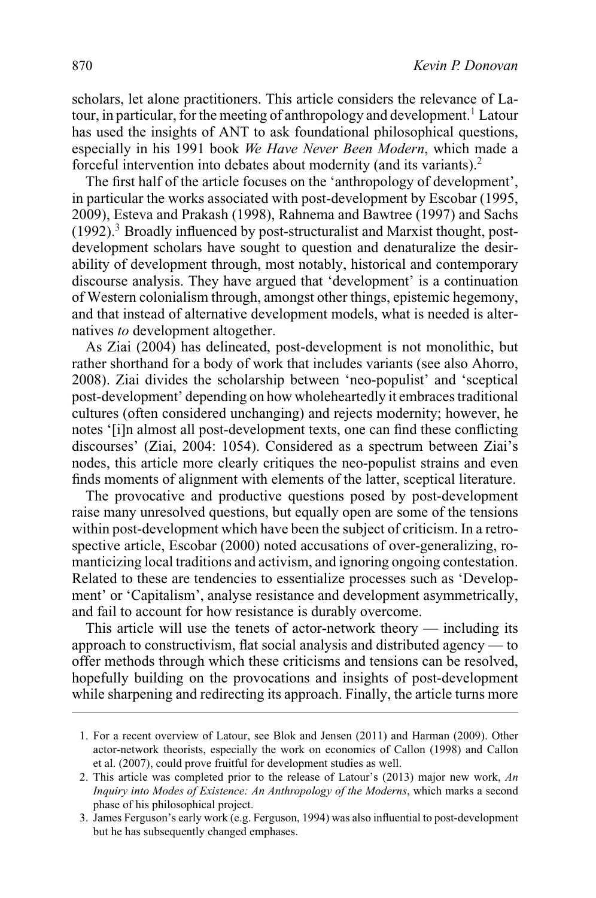scholars, let alone practitioners. This article considers the relevance of Latour, in particular, for the meeting of anthropology and development.<sup>1</sup> Latour has used the insights of ANT to ask foundational philosophical questions, especially in his 1991 book *We Have Never Been Modern*, which made a forceful intervention into debates about modernity (and its variants).2

The first half of the article focuses on the 'anthropology of development', in particular the works associated with post-development by Escobar (1995, 2009), Esteva and Prakash (1998), Rahnema and Bawtree (1997) and Sachs  $(1992)$ .<sup>3</sup> Broadly influenced by post-structuralist and Marxist thought, postdevelopment scholars have sought to question and denaturalize the desirability of development through, most notably, historical and contemporary discourse analysis. They have argued that 'development' is a continuation of Western colonialism through, amongst other things, epistemic hegemony, and that instead of alternative development models, what is needed is alternatives *to* development altogether.

As Ziai (2004) has delineated, post-development is not monolithic, but rather shorthand for a body of work that includes variants (see also Ahorro, 2008). Ziai divides the scholarship between 'neo-populist' and 'sceptical post-development' depending on how wholeheartedly it embraces traditional cultures (often considered unchanging) and rejects modernity; however, he notes '[i]n almost all post-development texts, one can find these conflicting discourses' (Ziai, 2004: 1054). Considered as a spectrum between Ziai's nodes, this article more clearly critiques the neo-populist strains and even finds moments of alignment with elements of the latter, sceptical literature.

The provocative and productive questions posed by post-development raise many unresolved questions, but equally open are some of the tensions within post-development which have been the subject of criticism. In a retrospective article, Escobar (2000) noted accusations of over-generalizing, romanticizing local traditions and activism, and ignoring ongoing contestation. Related to these are tendencies to essentialize processes such as 'Development' or 'Capitalism', analyse resistance and development asymmetrically, and fail to account for how resistance is durably overcome.

This article will use the tenets of actor-network theory — including its approach to constructivism, flat social analysis and distributed agency — to offer methods through which these criticisms and tensions can be resolved, hopefully building on the provocations and insights of post-development while sharpening and redirecting its approach. Finally, the article turns more

<sup>1.</sup> For a recent overview of Latour, see Blok and Jensen (2011) and Harman (2009). Other actor-network theorists, especially the work on economics of Callon (1998) and Callon et al. (2007), could prove fruitful for development studies as well.

<sup>2.</sup> This article was completed prior to the release of Latour's (2013) major new work, *An Inquiry into Modes of Existence: An Anthropology of the Moderns*, which marks a second phase of his philosophical project.

<sup>3.</sup> James Ferguson's early work (e.g. Ferguson, 1994) was also influential to post-development but he has subsequently changed emphases.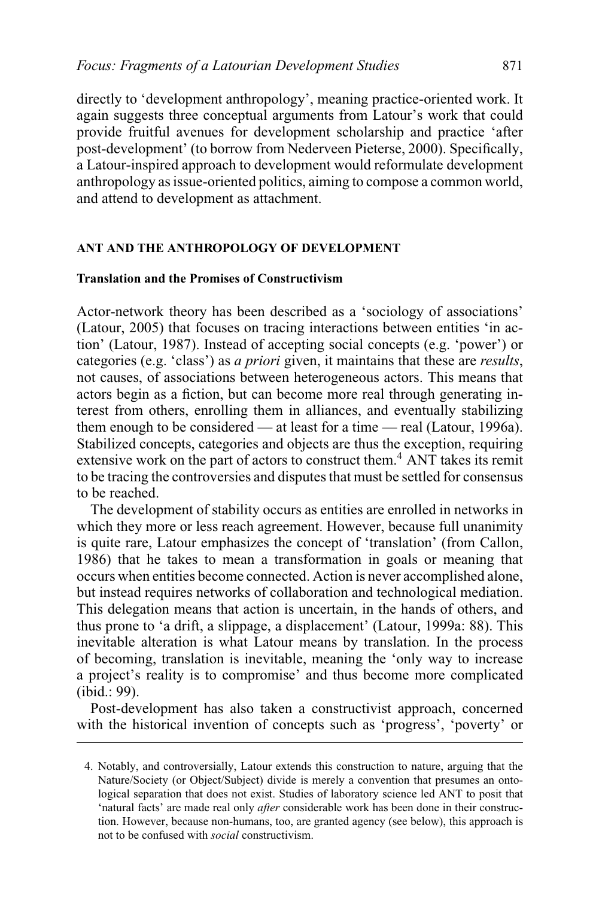directly to 'development anthropology', meaning practice-oriented work. It again suggests three conceptual arguments from Latour's work that could provide fruitful avenues for development scholarship and practice 'after post-development' (to borrow from Nederveen Pieterse, 2000). Specifically, a Latour-inspired approach to development would reformulate development anthropology as issue-oriented politics, aiming to compose a common world, and attend to development as attachment.

#### **ANT AND THE ANTHROPOLOGY OF DEVELOPMENT**

## **Translation and the Promises of Constructivism**

Actor-network theory has been described as a 'sociology of associations' (Latour, 2005) that focuses on tracing interactions between entities 'in action' (Latour, 1987). Instead of accepting social concepts (e.g. 'power') or categories (e.g. 'class') as *a priori* given, it maintains that these are *results*, not causes, of associations between heterogeneous actors. This means that actors begin as a fiction, but can become more real through generating interest from others, enrolling them in alliances, and eventually stabilizing them enough to be considered — at least for a time — real (Latour, 1996a). Stabilized concepts, categories and objects are thus the exception, requiring extensive work on the part of actors to construct them.<sup>4</sup> ANT takes its remit to be tracing the controversies and disputes that must be settled for consensus to be reached.

The development of stability occurs as entities are enrolled in networks in which they more or less reach agreement. However, because full unanimity is quite rare, Latour emphasizes the concept of 'translation' (from Callon, 1986) that he takes to mean a transformation in goals or meaning that occurs when entities become connected. Action is never accomplished alone, but instead requires networks of collaboration and technological mediation. This delegation means that action is uncertain, in the hands of others, and thus prone to 'a drift, a slippage, a displacement' (Latour, 1999a: 88). This inevitable alteration is what Latour means by translation. In the process of becoming, translation is inevitable, meaning the 'only way to increase a project's reality is to compromise' and thus become more complicated (ibid.: 99).

Post-development has also taken a constructivist approach, concerned with the historical invention of concepts such as 'progress', 'poverty' or

<sup>4.</sup> Notably, and controversially, Latour extends this construction to nature, arguing that the Nature/Society (or Object/Subject) divide is merely a convention that presumes an ontological separation that does not exist. Studies of laboratory science led ANT to posit that 'natural facts' are made real only *after* considerable work has been done in their construction. However, because non-humans, too, are granted agency (see below), this approach is not to be confused with *social* constructivism.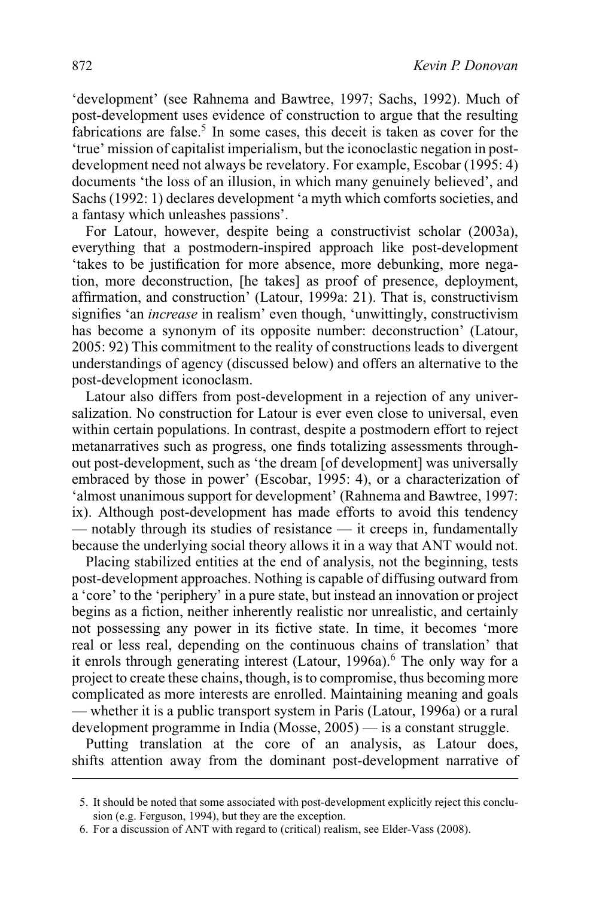'development' (see Rahnema and Bawtree, 1997; Sachs, 1992). Much of post-development uses evidence of construction to argue that the resulting fabrications are false.<sup>5</sup> In some cases, this deceit is taken as cover for the 'true' mission of capitalist imperialism, but the iconoclastic negation in postdevelopment need not always be revelatory. For example, Escobar (1995: 4) documents 'the loss of an illusion, in which many genuinely believed', and Sachs (1992: 1) declares development 'a myth which comforts societies, and a fantasy which unleashes passions'.

For Latour, however, despite being a constructivist scholar (2003a), everything that a postmodern-inspired approach like post-development 'takes to be justification for more absence, more debunking, more negation, more deconstruction, [he takes] as proof of presence, deployment, affirmation, and construction' (Latour, 1999a: 21). That is, constructivism signifies 'an *increase* in realism' even though, 'unwittingly, constructivism has become a synonym of its opposite number: deconstruction' (Latour, 2005: 92) This commitment to the reality of constructions leads to divergent understandings of agency (discussed below) and offers an alternative to the post-development iconoclasm.

Latour also differs from post-development in a rejection of any universalization. No construction for Latour is ever even close to universal, even within certain populations. In contrast, despite a postmodern effort to reject metanarratives such as progress, one finds totalizing assessments throughout post-development, such as 'the dream [of development] was universally embraced by those in power' (Escobar, 1995: 4), or a characterization of 'almost unanimous support for development' (Rahnema and Bawtree, 1997: ix). Although post-development has made efforts to avoid this tendency — notably through its studies of resistance — it creeps in, fundamentally because the underlying social theory allows it in a way that ANT would not.

Placing stabilized entities at the end of analysis, not the beginning, tests post-development approaches. Nothing is capable of diffusing outward from a 'core' to the 'periphery' in a pure state, but instead an innovation or project begins as a fiction, neither inherently realistic nor unrealistic, and certainly not possessing any power in its fictive state. In time, it becomes 'more real or less real, depending on the continuous chains of translation' that it enrols through generating interest (Latour, 1996a).<sup>6</sup> The only way for a project to create these chains, though, is to compromise, thus becoming more complicated as more interests are enrolled. Maintaining meaning and goals — whether it is a public transport system in Paris (Latour, 1996a) or a rural development programme in India (Mosse, 2005) — is a constant struggle.

Putting translation at the core of an analysis, as Latour does, shifts attention away from the dominant post-development narrative of

<sup>5.</sup> It should be noted that some associated with post-development explicitly reject this conclusion (e.g. Ferguson, 1994), but they are the exception.

<sup>6.</sup> For a discussion of ANT with regard to (critical) realism, see Elder-Vass (2008).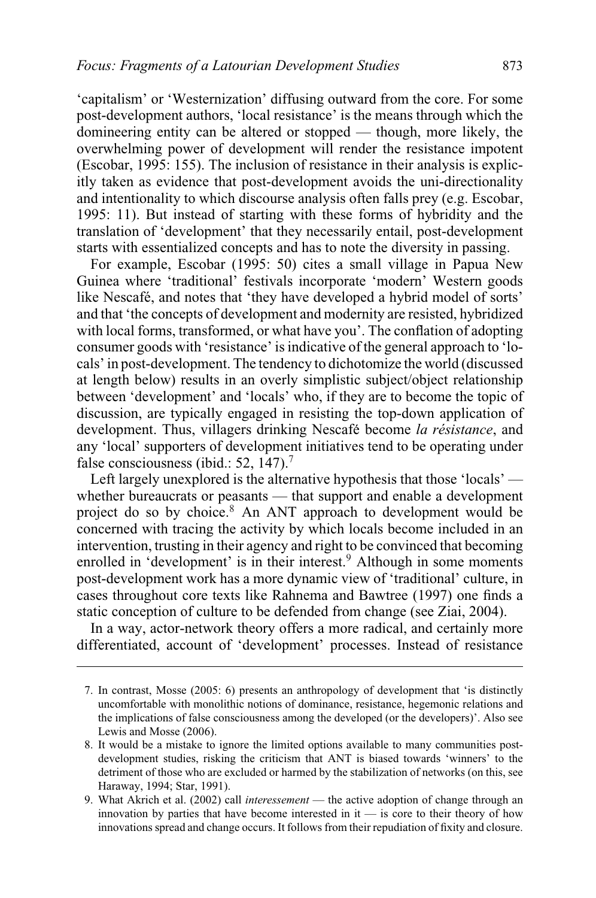'capitalism' or 'Westernization' diffusing outward from the core. For some post-development authors, 'local resistance' is the means through which the domineering entity can be altered or stopped — though, more likely, the overwhelming power of development will render the resistance impotent (Escobar, 1995: 155). The inclusion of resistance in their analysis is explicitly taken as evidence that post-development avoids the uni-directionality and intentionality to which discourse analysis often falls prey (e.g. Escobar, 1995: 11). But instead of starting with these forms of hybridity and the translation of 'development' that they necessarily entail, post-development starts with essentialized concepts and has to note the diversity in passing.

For example, Escobar (1995: 50) cites a small village in Papua New Guinea where 'traditional' festivals incorporate 'modern' Western goods like Nescafé, and notes that 'they have developed a hybrid model of sorts' and that 'the concepts of development and modernity are resisted, hybridized with local forms, transformed, or what have you'. The conflation of adopting consumer goods with 'resistance' is indicative of the general approach to 'locals' in post-development. The tendency to dichotomize the world (discussed at length below) results in an overly simplistic subject/object relationship between 'development' and 'locals' who, if they are to become the topic of discussion, are typically engaged in resisting the top-down application of development. Thus, villagers drinking Nescafé become *la résistance*, and any 'local' supporters of development initiatives tend to be operating under false consciousness (ibid.: 52, 147).<sup>7</sup>

Left largely unexplored is the alternative hypothesis that those 'locals' whether bureaucrats or peasants — that support and enable a development project do so by choice.<sup>8</sup> An ANT approach to development would be concerned with tracing the activity by which locals become included in an intervention, trusting in their agency and right to be convinced that becoming enrolled in 'development' is in their interest.<sup>9</sup> Although in some moments post-development work has a more dynamic view of 'traditional' culture, in cases throughout core texts like Rahnema and Bawtree (1997) one finds a static conception of culture to be defended from change (see Ziai, 2004).

In a way, actor-network theory offers a more radical, and certainly more differentiated, account of 'development' processes. Instead of resistance

<sup>7.</sup> In contrast, Mosse (2005: 6) presents an anthropology of development that 'is distinctly uncomfortable with monolithic notions of dominance, resistance, hegemonic relations and the implications of false consciousness among the developed (or the developers)'. Also see Lewis and Mosse (2006).

<sup>8.</sup> It would be a mistake to ignore the limited options available to many communities postdevelopment studies, risking the criticism that ANT is biased towards 'winners' to the detriment of those who are excluded or harmed by the stabilization of networks (on this, see Haraway, 1994; Star, 1991).

<sup>9.</sup> What Akrich et al. (2002) call *interessement* — the active adoption of change through an innovation by parties that have become interested in  $i$  — is core to their theory of how innovations spread and change occurs. It follows from their repudiation of fixity and closure.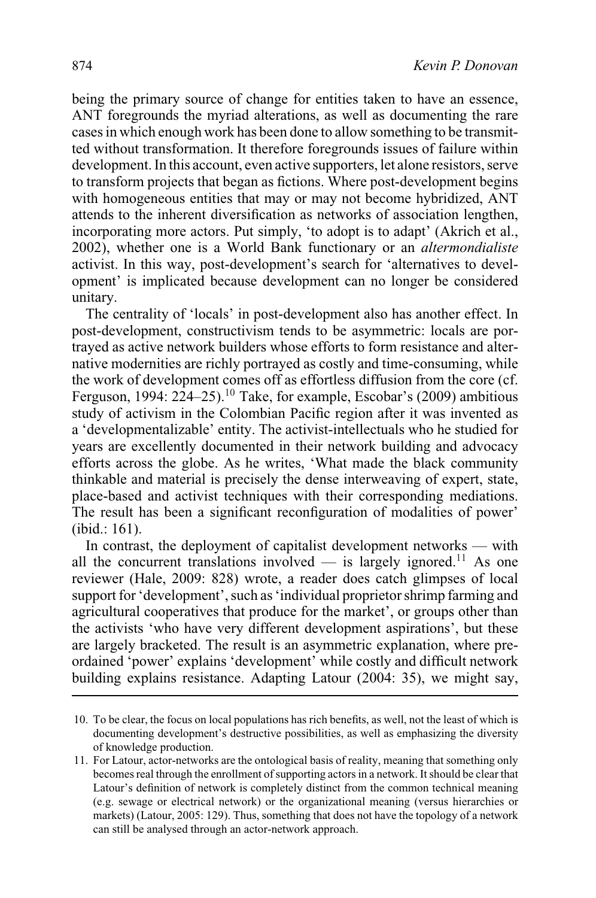being the primary source of change for entities taken to have an essence, ANT foregrounds the myriad alterations, as well as documenting the rare cases in which enough work has been done to allow something to be transmitted without transformation. It therefore foregrounds issues of failure within development. In this account, even active supporters, let alone resistors, serve to transform projects that began as fictions. Where post-development begins with homogeneous entities that may or may not become hybridized, ANT attends to the inherent diversification as networks of association lengthen, incorporating more actors. Put simply, 'to adopt is to adapt' (Akrich et al., 2002), whether one is a World Bank functionary or an *altermondialiste* activist. In this way, post-development's search for 'alternatives to development' is implicated because development can no longer be considered unitary.

The centrality of 'locals' in post-development also has another effect. In post-development, constructivism tends to be asymmetric: locals are portrayed as active network builders whose efforts to form resistance and alternative modernities are richly portrayed as costly and time-consuming, while the work of development comes off as effortless diffusion from the core (cf. Ferguson, 1994:  $224-25$ .<sup>10</sup> Take, for example, Escobar's (2009) ambitious study of activism in the Colombian Pacific region after it was invented as a 'developmentalizable' entity. The activist-intellectuals who he studied for years are excellently documented in their network building and advocacy efforts across the globe. As he writes, 'What made the black community thinkable and material is precisely the dense interweaving of expert, state, place-based and activist techniques with their corresponding mediations. The result has been a significant reconfiguration of modalities of power' (ibid.: 161).

In contrast, the deployment of capitalist development networks — with all the concurrent translations involved — is largely ignored.<sup>11</sup> As one reviewer (Hale, 2009: 828) wrote, a reader does catch glimpses of local support for 'development', such as 'individual proprietor shrimp farming and agricultural cooperatives that produce for the market', or groups other than the activists 'who have very different development aspirations', but these are largely bracketed. The result is an asymmetric explanation, where preordained 'power' explains 'development' while costly and difficult network building explains resistance. Adapting Latour (2004: 35), we might say,

<sup>10.</sup> To be clear, the focus on local populations has rich benefits, as well, not the least of which is documenting development's destructive possibilities, as well as emphasizing the diversity of knowledge production.

<sup>11.</sup> For Latour, actor-networks are the ontological basis of reality, meaning that something only becomes real through the enrollment of supporting actors in a network. It should be clear that Latour's definition of network is completely distinct from the common technical meaning (e.g. sewage or electrical network) or the organizational meaning (versus hierarchies or markets) (Latour, 2005: 129). Thus, something that does not have the topology of a network can still be analysed through an actor-network approach.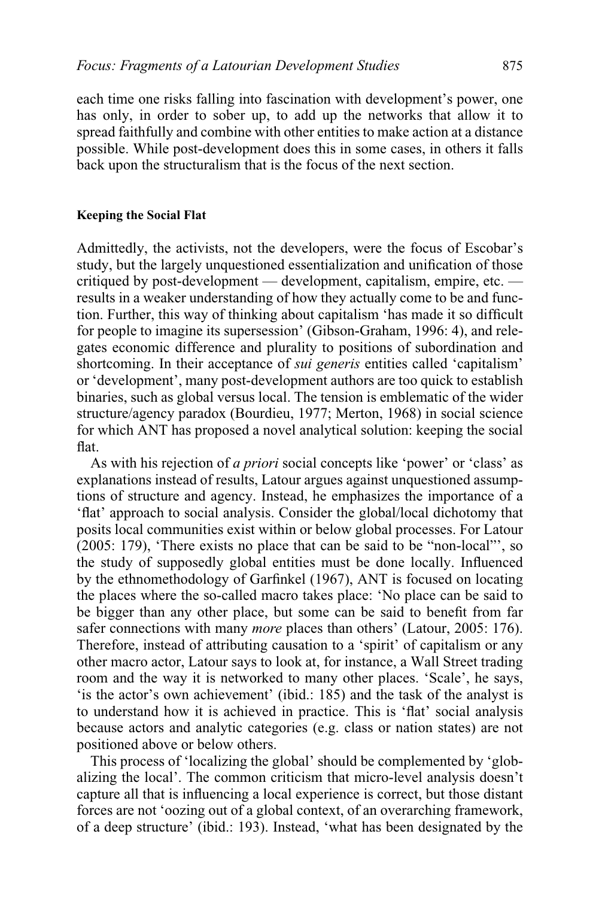each time one risks falling into fascination with development's power, one has only, in order to sober up, to add up the networks that allow it to spread faithfully and combine with other entities to make action at a distance possible. While post-development does this in some cases, in others it falls back upon the structuralism that is the focus of the next section.

#### **Keeping the Social Flat**

Admittedly, the activists, not the developers, were the focus of Escobar's study, but the largely unquestioned essentialization and unification of those critiqued by post-development — development, capitalism, empire, etc. results in a weaker understanding of how they actually come to be and function. Further, this way of thinking about capitalism 'has made it so difficult for people to imagine its supersession' (Gibson-Graham, 1996: 4), and relegates economic difference and plurality to positions of subordination and shortcoming. In their acceptance of *sui generis* entities called 'capitalism' or 'development', many post-development authors are too quick to establish binaries, such as global versus local. The tension is emblematic of the wider structure/agency paradox (Bourdieu, 1977; Merton, 1968) in social science for which ANT has proposed a novel analytical solution: keeping the social flat.

As with his rejection of *a priori* social concepts like 'power' or 'class' as explanations instead of results, Latour argues against unquestioned assumptions of structure and agency. Instead, he emphasizes the importance of a 'flat' approach to social analysis. Consider the global/local dichotomy that posits local communities exist within or below global processes. For Latour (2005: 179), 'There exists no place that can be said to be "non-local"', so the study of supposedly global entities must be done locally. Influenced by the ethnomethodology of Garfinkel (1967), ANT is focused on locating the places where the so-called macro takes place: 'No place can be said to be bigger than any other place, but some can be said to benefit from far safer connections with many *more* places than others' (Latour, 2005: 176). Therefore, instead of attributing causation to a 'spirit' of capitalism or any other macro actor, Latour says to look at, for instance, a Wall Street trading room and the way it is networked to many other places. 'Scale', he says, 'is the actor's own achievement' (ibid.: 185) and the task of the analyst is to understand how it is achieved in practice. This is 'flat' social analysis because actors and analytic categories (e.g. class or nation states) are not positioned above or below others.

This process of 'localizing the global' should be complemented by 'globalizing the local'. The common criticism that micro-level analysis doesn't capture all that is influencing a local experience is correct, but those distant forces are not 'oozing out of a global context, of an overarching framework, of a deep structure' (ibid.: 193). Instead, 'what has been designated by the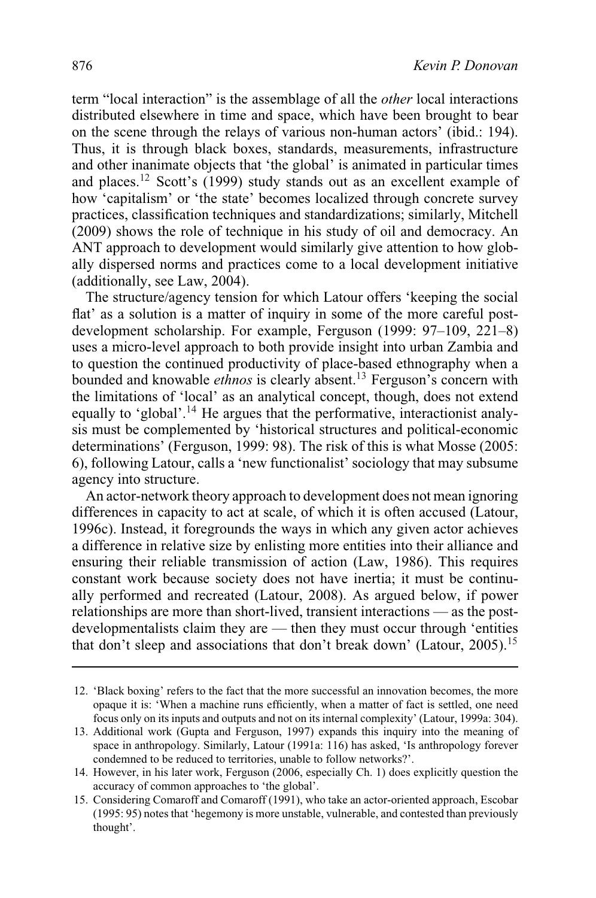term "local interaction" is the assemblage of all the *other* local interactions distributed elsewhere in time and space, which have been brought to bear on the scene through the relays of various non-human actors' (ibid.: 194). Thus, it is through black boxes, standards, measurements, infrastructure and other inanimate objects that 'the global' is animated in particular times and places.12 Scott's (1999) study stands out as an excellent example of how 'capitalism' or 'the state' becomes localized through concrete survey practices, classification techniques and standardizations; similarly, Mitchell (2009) shows the role of technique in his study of oil and democracy. An ANT approach to development would similarly give attention to how globally dispersed norms and practices come to a local development initiative (additionally, see Law, 2004).

The structure/agency tension for which Latour offers 'keeping the social flat' as a solution is a matter of inquiry in some of the more careful postdevelopment scholarship. For example, Ferguson (1999: 97–109, 221–8) uses a micro-level approach to both provide insight into urban Zambia and to question the continued productivity of place-based ethnography when a bounded and knowable *ethnos* is clearly absent.<sup>13</sup> Ferguson's concern with the limitations of 'local' as an analytical concept, though, does not extend equally to 'global'.<sup>14</sup> He argues that the performative, interactionist analysis must be complemented by 'historical structures and political-economic determinations' (Ferguson, 1999: 98). The risk of this is what Mosse (2005: 6), following Latour, calls a 'new functionalist' sociology that may subsume agency into structure.

An actor-network theory approach to development does not mean ignoring differences in capacity to act at scale, of which it is often accused (Latour, 1996c). Instead, it foregrounds the ways in which any given actor achieves a difference in relative size by enlisting more entities into their alliance and ensuring their reliable transmission of action (Law, 1986). This requires constant work because society does not have inertia; it must be continually performed and recreated (Latour, 2008). As argued below, if power relationships are more than short-lived, transient interactions — as the postdevelopmentalists claim they are — then they must occur through 'entities that don't sleep and associations that don't break down' (Latour, 2005).<sup>15</sup>

<sup>12. &#</sup>x27;Black boxing' refers to the fact that the more successful an innovation becomes, the more opaque it is: 'When a machine runs efficiently, when a matter of fact is settled, one need focus only on its inputs and outputs and not on its internal complexity' (Latour, 1999a: 304).

<sup>13.</sup> Additional work (Gupta and Ferguson, 1997) expands this inquiry into the meaning of space in anthropology. Similarly, Latour (1991a: 116) has asked, 'Is anthropology forever condemned to be reduced to territories, unable to follow networks?'.

<sup>14.</sup> However, in his later work, Ferguson (2006, especially Ch. 1) does explicitly question the accuracy of common approaches to 'the global'.

<sup>15.</sup> Considering Comaroff and Comaroff (1991), who take an actor-oriented approach, Escobar (1995: 95) notes that 'hegemony is more unstable, vulnerable, and contested than previously thought'.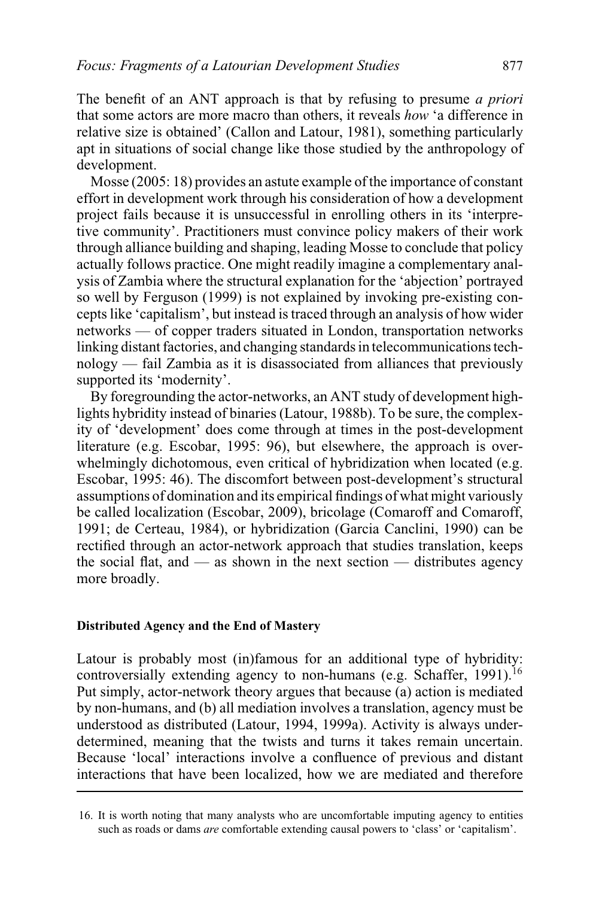The benefit of an ANT approach is that by refusing to presume *a priori* that some actors are more macro than others, it reveals *how* 'a difference in relative size is obtained' (Callon and Latour, 1981), something particularly apt in situations of social change like those studied by the anthropology of development.

Mosse (2005: 18) provides an astute example of the importance of constant effort in development work through his consideration of how a development project fails because it is unsuccessful in enrolling others in its 'interpretive community'. Practitioners must convince policy makers of their work through alliance building and shaping, leading Mosse to conclude that policy actually follows practice. One might readily imagine a complementary analysis of Zambia where the structural explanation for the 'abjection' portrayed so well by Ferguson (1999) is not explained by invoking pre-existing concepts like 'capitalism', but instead is traced through an analysis of how wider networks — of copper traders situated in London, transportation networks linking distant factories, and changing standards in telecommunications technology — fail Zambia as it is disassociated from alliances that previously supported its 'modernity'.

By foregrounding the actor-networks, an ANT study of development highlights hybridity instead of binaries (Latour, 1988b). To be sure, the complexity of 'development' does come through at times in the post-development literature (e.g. Escobar, 1995: 96), but elsewhere, the approach is overwhelmingly dichotomous, even critical of hybridization when located (e.g. Escobar, 1995: 46). The discomfort between post-development's structural assumptions of domination and its empirical findings of what might variously be called localization (Escobar, 2009), bricolage (Comaroff and Comaroff, 1991; de Certeau, 1984), or hybridization (Garcia Canclini, 1990) can be rectified through an actor-network approach that studies translation, keeps the social flat, and  $\frac{1}{x}$  as shown in the next section  $\frac{1}{x}$  distributes agency more broadly.

# **Distributed Agency and the End of Mastery**

Latour is probably most (in)famous for an additional type of hybridity: controversially extending agency to non-humans (e.g. Schaffer, 1991).<sup>16</sup> Put simply, actor-network theory argues that because (a) action is mediated by non-humans, and (b) all mediation involves a translation, agency must be understood as distributed (Latour, 1994, 1999a). Activity is always underdetermined, meaning that the twists and turns it takes remain uncertain. Because 'local' interactions involve a confluence of previous and distant interactions that have been localized, how we are mediated and therefore

<sup>16.</sup> It is worth noting that many analysts who are uncomfortable imputing agency to entities such as roads or dams *are* comfortable extending causal powers to 'class' or 'capitalism'.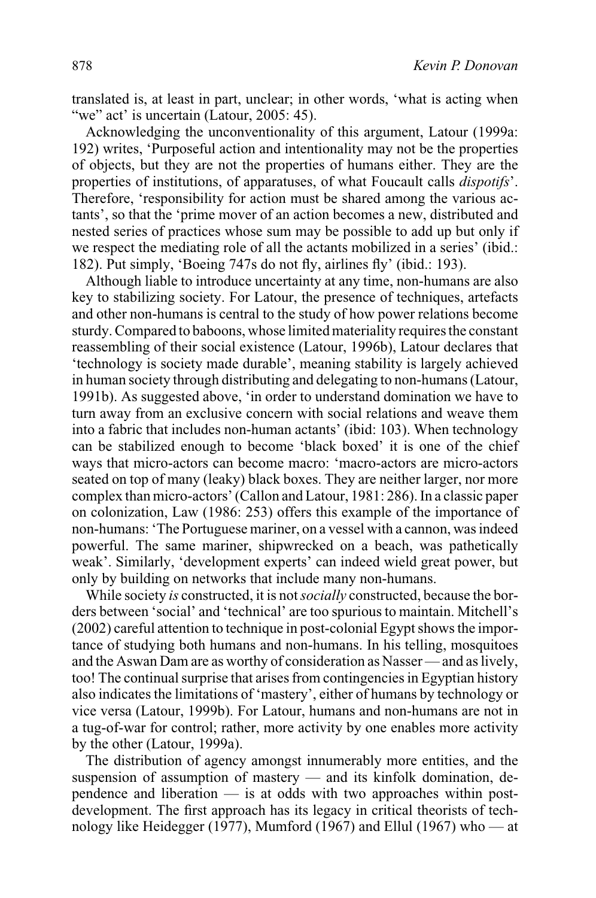translated is, at least in part, unclear; in other words, 'what is acting when "we" act' is uncertain (Latour, 2005: 45).

Acknowledging the unconventionality of this argument, Latour (1999a: 192) writes, 'Purposeful action and intentionality may not be the properties of objects, but they are not the properties of humans either. They are the properties of institutions, of apparatuses, of what Foucault calls *dispotifs*'. Therefore, 'responsibility for action must be shared among the various actants', so that the 'prime mover of an action becomes a new, distributed and nested series of practices whose sum may be possible to add up but only if we respect the mediating role of all the actants mobilized in a series' (ibid.: 182). Put simply, 'Boeing 747s do not fly, airlines fly' (ibid.: 193).

Although liable to introduce uncertainty at any time, non-humans are also key to stabilizing society. For Latour, the presence of techniques, artefacts and other non-humans is central to the study of how power relations become sturdy. Compared to baboons, whose limited materiality requires the constant reassembling of their social existence (Latour, 1996b), Latour declares that 'technology is society made durable', meaning stability is largely achieved in human society through distributing and delegating to non-humans (Latour, 1991b). As suggested above, 'in order to understand domination we have to turn away from an exclusive concern with social relations and weave them into a fabric that includes non-human actants' (ibid: 103). When technology can be stabilized enough to become 'black boxed' it is one of the chief ways that micro-actors can become macro: 'macro-actors are micro-actors seated on top of many (leaky) black boxes. They are neither larger, nor more complex than micro-actors' (Callon and Latour, 1981: 286). In a classic paper on colonization, Law (1986: 253) offers this example of the importance of non-humans: 'The Portuguese mariner, on a vessel with a cannon, was indeed powerful. The same mariner, shipwrecked on a beach, was pathetically weak'. Similarly, 'development experts' can indeed wield great power, but only by building on networks that include many non-humans.

While society *is* constructed, it is not*socially* constructed, because the borders between 'social' and 'technical' are too spurious to maintain. Mitchell's (2002) careful attention to technique in post-colonial Egypt shows the importance of studying both humans and non-humans. In his telling, mosquitoes and the Aswan Dam are as worthy of consideration as Nasser— and as lively, too! The continual surprise that arises from contingencies in Egyptian history also indicates the limitations of 'mastery', either of humans by technology or vice versa (Latour, 1999b). For Latour, humans and non-humans are not in a tug-of-war for control; rather, more activity by one enables more activity by the other (Latour, 1999a).

The distribution of agency amongst innumerably more entities, and the suspension of assumption of mastery — and its kinfolk domination, dependence and liberation — is at odds with two approaches within postdevelopment. The first approach has its legacy in critical theorists of technology like Heidegger (1977), Mumford (1967) and Ellul (1967) who — at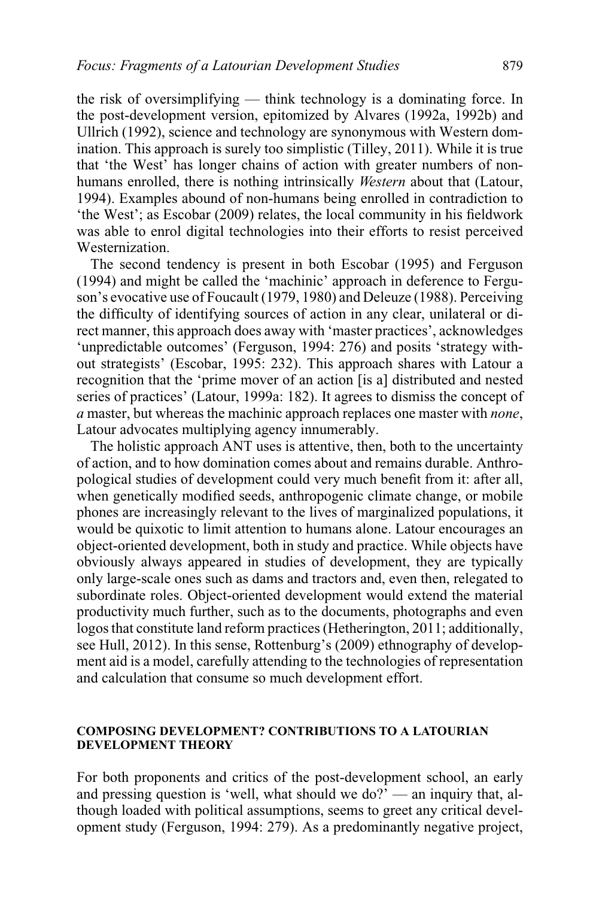the risk of oversimplifying — think technology is a dominating force. In the post-development version, epitomized by Alvares (1992a, 1992b) and Ullrich (1992), science and technology are synonymous with Western domination. This approach is surely too simplistic (Tilley, 2011). While it is true that 'the West' has longer chains of action with greater numbers of nonhumans enrolled, there is nothing intrinsically *Western* about that (Latour, 1994). Examples abound of non-humans being enrolled in contradiction to 'the West'; as Escobar (2009) relates, the local community in his fieldwork was able to enrol digital technologies into their efforts to resist perceived Westernization.

The second tendency is present in both Escobar (1995) and Ferguson (1994) and might be called the 'machinic' approach in deference to Ferguson's evocative use of Foucault (1979, 1980) and Deleuze (1988). Perceiving the difficulty of identifying sources of action in any clear, unilateral or direct manner, this approach does away with 'master practices', acknowledges 'unpredictable outcomes' (Ferguson, 1994: 276) and posits 'strategy without strategists' (Escobar, 1995: 232). This approach shares with Latour a recognition that the 'prime mover of an action [is a] distributed and nested series of practices' (Latour, 1999a: 182). It agrees to dismiss the concept of *a* master, but whereas the machinic approach replaces one master with *none*, Latour advocates multiplying agency innumerably.

The holistic approach ANT uses is attentive, then, both to the uncertainty of action, and to how domination comes about and remains durable. Anthropological studies of development could very much benefit from it: after all, when genetically modified seeds, anthropogenic climate change, or mobile phones are increasingly relevant to the lives of marginalized populations, it would be quixotic to limit attention to humans alone. Latour encourages an object-oriented development, both in study and practice. While objects have obviously always appeared in studies of development, they are typically only large-scale ones such as dams and tractors and, even then, relegated to subordinate roles. Object-oriented development would extend the material productivity much further, such as to the documents, photographs and even logos that constitute land reform practices (Hetherington, 2011; additionally, see Hull, 2012). In this sense, Rottenburg's (2009) ethnography of development aid is a model, carefully attending to the technologies of representation and calculation that consume so much development effort.

## **COMPOSING DEVELOPMENT? CONTRIBUTIONS TO A LATOURIAN DEVELOPMENT THEORY**

For both proponents and critics of the post-development school, an early and pressing question is 'well, what should we do?' — an inquiry that, although loaded with political assumptions, seems to greet any critical development study (Ferguson, 1994: 279). As a predominantly negative project,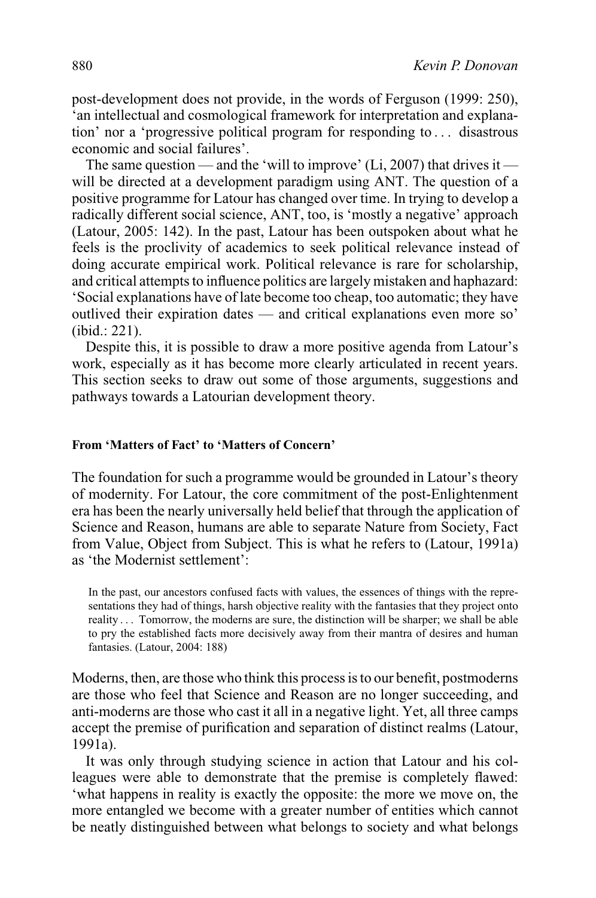post-development does not provide, in the words of Ferguson (1999: 250), 'an intellectual and cosmological framework for interpretation and explanation' nor a 'progressive political program for responding to . . . disastrous economic and social failures'.

The same question — and the 'will to improve' (Li, 2007) that drives it will be directed at a development paradigm using ANT. The question of a positive programme for Latour has changed over time. In trying to develop a radically different social science, ANT, too, is 'mostly a negative' approach (Latour, 2005: 142). In the past, Latour has been outspoken about what he feels is the proclivity of academics to seek political relevance instead of doing accurate empirical work. Political relevance is rare for scholarship, and critical attempts to influence politics are largely mistaken and haphazard: 'Social explanations have of late become too cheap, too automatic; they have outlived their expiration dates — and critical explanations even more so' (ibid.: 221).

Despite this, it is possible to draw a more positive agenda from Latour's work, especially as it has become more clearly articulated in recent years. This section seeks to draw out some of those arguments, suggestions and pathways towards a Latourian development theory.

# **From 'Matters of Fact' to 'Matters of Concern'**

The foundation for such a programme would be grounded in Latour's theory of modernity. For Latour, the core commitment of the post-Enlightenment era has been the nearly universally held belief that through the application of Science and Reason, humans are able to separate Nature from Society, Fact from Value, Object from Subject. This is what he refers to (Latour, 1991a) as 'the Modernist settlement':

In the past, our ancestors confused facts with values, the essences of things with the representations they had of things, harsh objective reality with the fantasies that they project onto reality . . . Tomorrow, the moderns are sure, the distinction will be sharper; we shall be able to pry the established facts more decisively away from their mantra of desires and human fantasies. (Latour, 2004: 188)

Moderns, then, are those who think this process is to our benefit, postmoderns are those who feel that Science and Reason are no longer succeeding, and anti-moderns are those who cast it all in a negative light. Yet, all three camps accept the premise of purification and separation of distinct realms (Latour, 1991a).

It was only through studying science in action that Latour and his colleagues were able to demonstrate that the premise is completely flawed: 'what happens in reality is exactly the opposite: the more we move on, the more entangled we become with a greater number of entities which cannot be neatly distinguished between what belongs to society and what belongs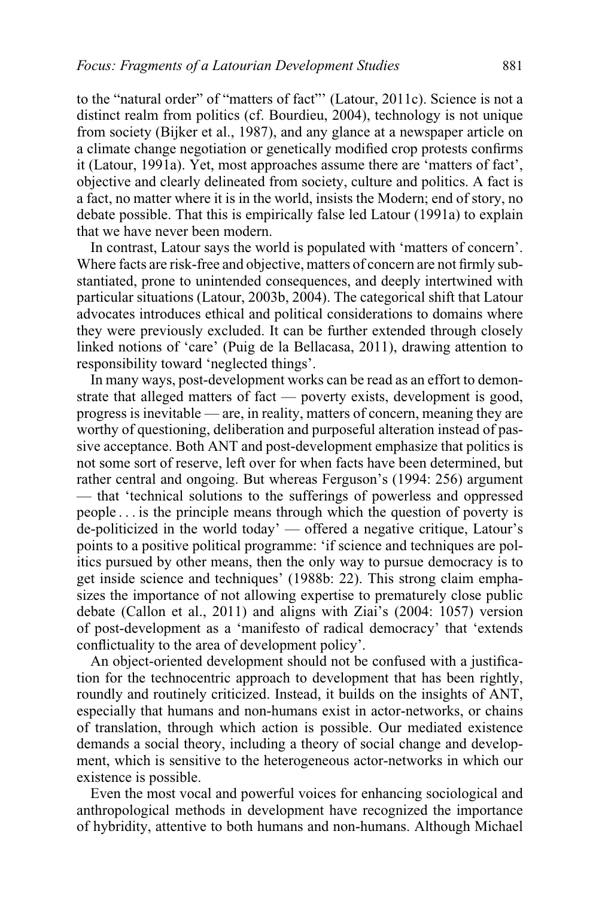to the "natural order" of "matters of fact"' (Latour, 2011c). Science is not a distinct realm from politics (cf. Bourdieu, 2004), technology is not unique from society (Bijker et al., 1987), and any glance at a newspaper article on a climate change negotiation or genetically modified crop protests confirms it (Latour, 1991a). Yet, most approaches assume there are 'matters of fact', objective and clearly delineated from society, culture and politics. A fact is a fact, no matter where it is in the world, insists the Modern; end of story, no debate possible. That this is empirically false led Latour (1991a) to explain that we have never been modern.

In contrast, Latour says the world is populated with 'matters of concern'. Where facts are risk-free and objective, matters of concern are not firmly substantiated, prone to unintended consequences, and deeply intertwined with particular situations (Latour, 2003b, 2004). The categorical shift that Latour advocates introduces ethical and political considerations to domains where they were previously excluded. It can be further extended through closely linked notions of 'care' (Puig de la Bellacasa, 2011), drawing attention to responsibility toward 'neglected things'.

In many ways, post-development works can be read as an effort to demonstrate that alleged matters of fact — poverty exists, development is good, progress is inevitable — are, in reality, matters of concern, meaning they are worthy of questioning, deliberation and purposeful alteration instead of passive acceptance. Both ANT and post-development emphasize that politics is not some sort of reserve, left over for when facts have been determined, but rather central and ongoing. But whereas Ferguson's (1994: 256) argument — that 'technical solutions to the sufferings of powerless and oppressed people . . . is the principle means through which the question of poverty is de-politicized in the world today' — offered a negative critique, Latour's points to a positive political programme: 'if science and techniques are politics pursued by other means, then the only way to pursue democracy is to get inside science and techniques' (1988b: 22). This strong claim emphasizes the importance of not allowing expertise to prematurely close public debate (Callon et al., 2011) and aligns with Ziai's (2004: 1057) version of post-development as a 'manifesto of radical democracy' that 'extends conflictuality to the area of development policy'.

An object-oriented development should not be confused with a justification for the technocentric approach to development that has been rightly, roundly and routinely criticized. Instead, it builds on the insights of ANT, especially that humans and non-humans exist in actor-networks, or chains of translation, through which action is possible. Our mediated existence demands a social theory, including a theory of social change and development, which is sensitive to the heterogeneous actor-networks in which our existence is possible.

Even the most vocal and powerful voices for enhancing sociological and anthropological methods in development have recognized the importance of hybridity, attentive to both humans and non-humans. Although Michael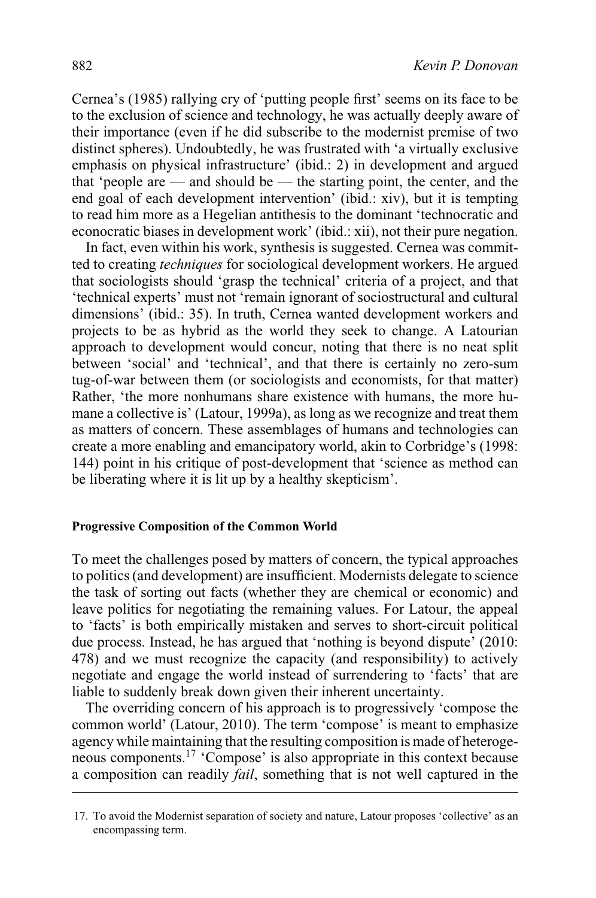Cernea's (1985) rallying cry of 'putting people first' seems on its face to be to the exclusion of science and technology, he was actually deeply aware of their importance (even if he did subscribe to the modernist premise of two distinct spheres). Undoubtedly, he was frustrated with 'a virtually exclusive emphasis on physical infrastructure' (ibid.: 2) in development and argued that 'people are — and should be — the starting point, the center, and the end goal of each development intervention' (ibid.: xiv), but it is tempting to read him more as a Hegelian antithesis to the dominant 'technocratic and econocratic biases in development work' (ibid.: xii), not their pure negation.

In fact, even within his work, synthesis is suggested. Cernea was committed to creating *techniques* for sociological development workers. He argued that sociologists should 'grasp the technical' criteria of a project, and that 'technical experts' must not 'remain ignorant of sociostructural and cultural dimensions' (ibid.: 35). In truth, Cernea wanted development workers and projects to be as hybrid as the world they seek to change. A Latourian approach to development would concur, noting that there is no neat split between 'social' and 'technical', and that there is certainly no zero-sum tug-of-war between them (or sociologists and economists, for that matter) Rather, 'the more nonhumans share existence with humans, the more humane a collective is' (Latour, 1999a), as long as we recognize and treat them as matters of concern. These assemblages of humans and technologies can create a more enabling and emancipatory world, akin to Corbridge's (1998: 144) point in his critique of post-development that 'science as method can be liberating where it is lit up by a healthy skepticism'.

#### **Progressive Composition of the Common World**

To meet the challenges posed by matters of concern, the typical approaches to politics (and development) are insufficient. Modernists delegate to science the task of sorting out facts (whether they are chemical or economic) and leave politics for negotiating the remaining values. For Latour, the appeal to 'facts' is both empirically mistaken and serves to short-circuit political due process. Instead, he has argued that 'nothing is beyond dispute' (2010: 478) and we must recognize the capacity (and responsibility) to actively negotiate and engage the world instead of surrendering to 'facts' that are liable to suddenly break down given their inherent uncertainty.

The overriding concern of his approach is to progressively 'compose the common world' (Latour, 2010). The term 'compose' is meant to emphasize agency while maintaining that the resulting composition is made of heterogeneous components.17 'Compose' is also appropriate in this context because a composition can readily *fail*, something that is not well captured in the

<sup>17.</sup> To avoid the Modernist separation of society and nature, Latour proposes 'collective' as an encompassing term.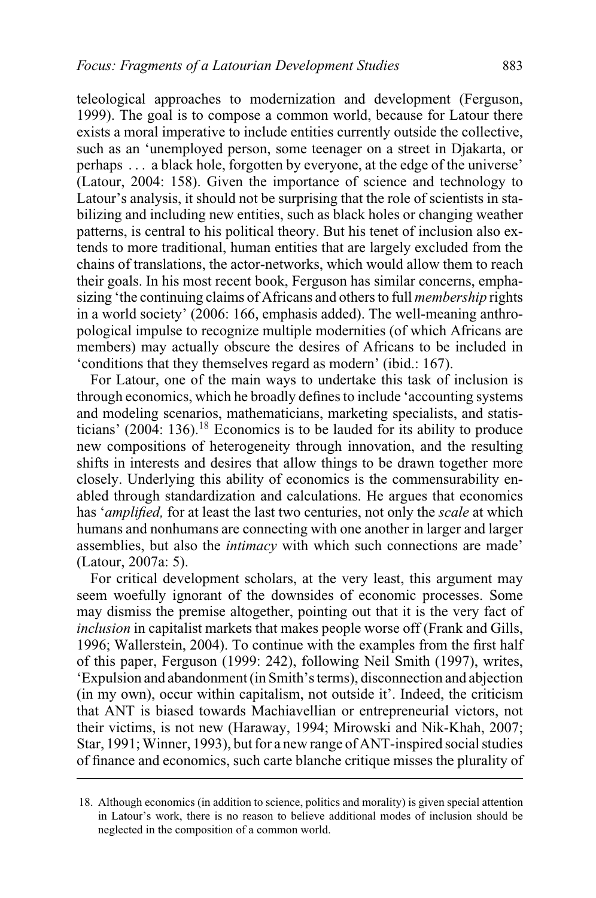teleological approaches to modernization and development (Ferguson, 1999). The goal is to compose a common world, because for Latour there exists a moral imperative to include entities currently outside the collective, such as an 'unemployed person, some teenager on a street in Djakarta, or perhaps . . . a black hole, forgotten by everyone, at the edge of the universe' (Latour, 2004: 158). Given the importance of science and technology to Latour's analysis, it should not be surprising that the role of scientists in stabilizing and including new entities, such as black holes or changing weather patterns, is central to his political theory. But his tenet of inclusion also extends to more traditional, human entities that are largely excluded from the chains of translations, the actor-networks, which would allow them to reach their goals. In his most recent book, Ferguson has similar concerns, emphasizing 'the continuing claims of Africans and others to full *membership* rights in a world society' (2006: 166, emphasis added). The well-meaning anthropological impulse to recognize multiple modernities (of which Africans are members) may actually obscure the desires of Africans to be included in 'conditions that they themselves regard as modern' (ibid.: 167).

For Latour, one of the main ways to undertake this task of inclusion is through economics, which he broadly defines to include 'accounting systems and modeling scenarios, mathematicians, marketing specialists, and statisticians'  $(2004: 136).<sup>18</sup>$  Economics is to be lauded for its ability to produce new compositions of heterogeneity through innovation, and the resulting shifts in interests and desires that allow things to be drawn together more closely. Underlying this ability of economics is the commensurability enabled through standardization and calculations. He argues that economics has '*amplified,* for at least the last two centuries, not only the *scale* at which humans and nonhumans are connecting with one another in larger and larger assemblies, but also the *intimacy* with which such connections are made' (Latour, 2007a: 5).

For critical development scholars, at the very least, this argument may seem woefully ignorant of the downsides of economic processes. Some may dismiss the premise altogether, pointing out that it is the very fact of *inclusion* in capitalist markets that makes people worse off (Frank and Gills, 1996; Wallerstein, 2004). To continue with the examples from the first half of this paper, Ferguson (1999: 242), following Neil Smith (1997), writes, 'Expulsion and abandonment (in Smith's terms), disconnection and abjection (in my own), occur within capitalism, not outside it'. Indeed, the criticism that ANT is biased towards Machiavellian or entrepreneurial victors, not their victims, is not new (Haraway, 1994; Mirowski and Nik-Khah, 2007; Star, 1991;Winner, 1993), but for a new range of ANT-inspired social studies of finance and economics, such carte blanche critique misses the plurality of

<sup>18.</sup> Although economics (in addition to science, politics and morality) is given special attention in Latour's work, there is no reason to believe additional modes of inclusion should be neglected in the composition of a common world.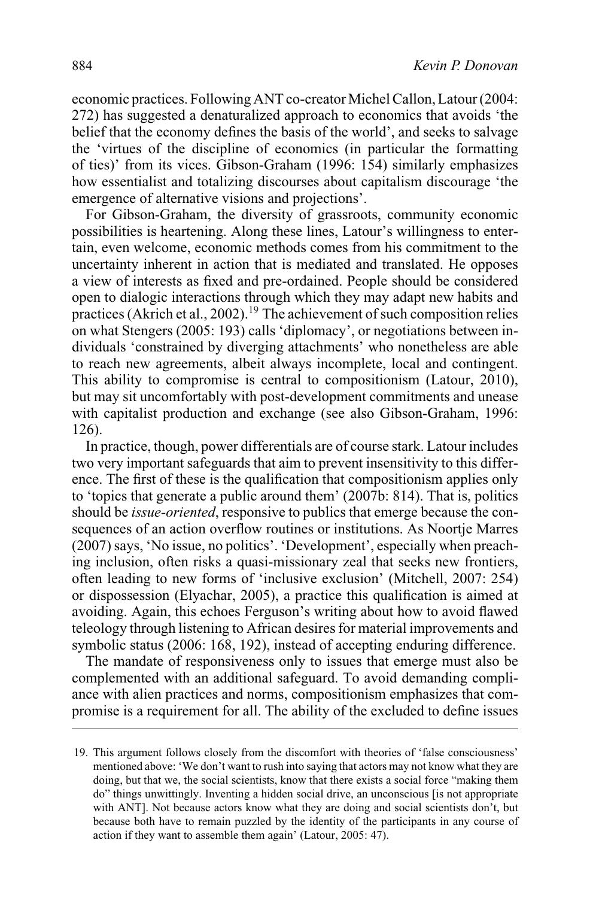economic practices. Following ANT co-creator Michel Callon, Latour (2004: 272) has suggested a denaturalized approach to economics that avoids 'the belief that the economy defines the basis of the world', and seeks to salvage the 'virtues of the discipline of economics (in particular the formatting of ties)' from its vices. Gibson-Graham (1996: 154) similarly emphasizes how essentialist and totalizing discourses about capitalism discourage 'the emergence of alternative visions and projections'.

For Gibson-Graham, the diversity of grassroots, community economic possibilities is heartening. Along these lines, Latour's willingness to entertain, even welcome, economic methods comes from his commitment to the uncertainty inherent in action that is mediated and translated. He opposes a view of interests as fixed and pre-ordained. People should be considered open to dialogic interactions through which they may adapt new habits and practices (Akrich et al., 2002).<sup>19</sup> The achievement of such composition relies on what Stengers (2005: 193) calls 'diplomacy', or negotiations between individuals 'constrained by diverging attachments' who nonetheless are able to reach new agreements, albeit always incomplete, local and contingent. This ability to compromise is central to compositionism (Latour, 2010), but may sit uncomfortably with post-development commitments and unease with capitalist production and exchange (see also Gibson-Graham, 1996: 126).

In practice, though, power differentials are of course stark. Latour includes two very important safeguards that aim to prevent insensitivity to this difference. The first of these is the qualification that compositionism applies only to 'topics that generate a public around them' (2007b: 814). That is, politics should be *issue-oriented*, responsive to publics that emerge because the consequences of an action overflow routines or institutions. As Noortje Marres (2007) says, 'No issue, no politics'. 'Development', especially when preaching inclusion, often risks a quasi-missionary zeal that seeks new frontiers, often leading to new forms of 'inclusive exclusion' (Mitchell, 2007: 254) or dispossession (Elyachar, 2005), a practice this qualification is aimed at avoiding. Again, this echoes Ferguson's writing about how to avoid flawed teleology through listening to African desires for material improvements and symbolic status (2006: 168, 192), instead of accepting enduring difference.

The mandate of responsiveness only to issues that emerge must also be complemented with an additional safeguard. To avoid demanding compliance with alien practices and norms, compositionism emphasizes that compromise is a requirement for all. The ability of the excluded to define issues

<sup>19.</sup> This argument follows closely from the discomfort with theories of 'false consciousness' mentioned above: 'We don't want to rush into saying that actors may not know what they are doing, but that we, the social scientists, know that there exists a social force "making them do" things unwittingly. Inventing a hidden social drive, an unconscious [is not appropriate with ANT]. Not because actors know what they are doing and social scientists don't, but because both have to remain puzzled by the identity of the participants in any course of action if they want to assemble them again' (Latour, 2005: 47).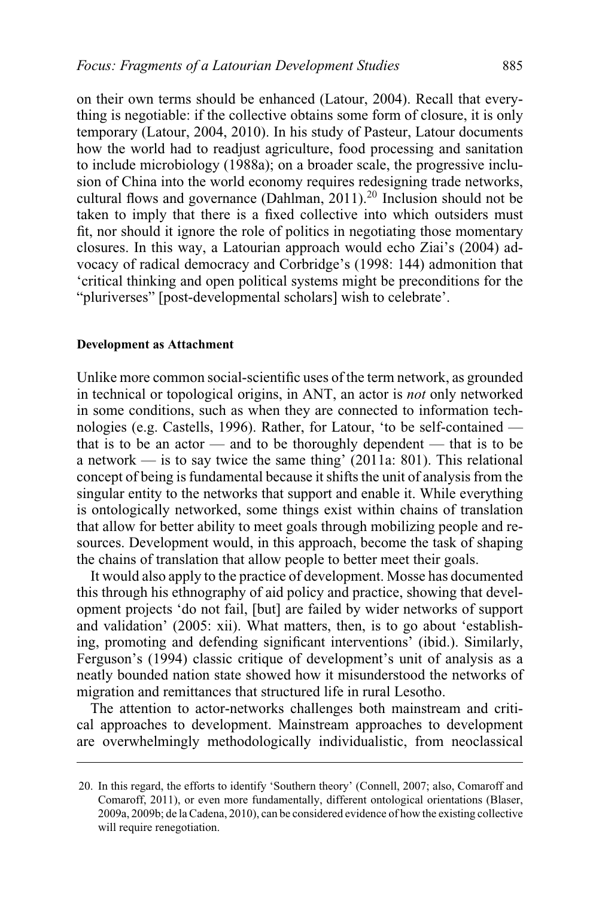on their own terms should be enhanced (Latour, 2004). Recall that everything is negotiable: if the collective obtains some form of closure, it is only temporary (Latour, 2004, 2010). In his study of Pasteur, Latour documents how the world had to readjust agriculture, food processing and sanitation to include microbiology (1988a); on a broader scale, the progressive inclusion of China into the world economy requires redesigning trade networks, cultural flows and governance (Dahlman, 2011).<sup>20</sup> Inclusion should not be taken to imply that there is a fixed collective into which outsiders must fit, nor should it ignore the role of politics in negotiating those momentary closures. In this way, a Latourian approach would echo Ziai's (2004) advocacy of radical democracy and Corbridge's (1998: 144) admonition that 'critical thinking and open political systems might be preconditions for the "pluriverses" [post-developmental scholars] wish to celebrate'.

#### **Development as Attachment**

Unlike more common social-scientific uses of the term network, as grounded in technical or topological origins, in ANT, an actor is *not* only networked in some conditions, such as when they are connected to information technologies (e.g. Castells, 1996). Rather, for Latour, 'to be self-contained that is to be an actor — and to be thoroughly dependent — that is to be a network — is to say twice the same thing'  $(2011a: 801)$ . This relational concept of being is fundamental because it shifts the unit of analysis from the singular entity to the networks that support and enable it. While everything is ontologically networked, some things exist within chains of translation that allow for better ability to meet goals through mobilizing people and resources. Development would, in this approach, become the task of shaping the chains of translation that allow people to better meet their goals.

It would also apply to the practice of development. Mosse has documented this through his ethnography of aid policy and practice, showing that development projects 'do not fail, [but] are failed by wider networks of support and validation' (2005: xii). What matters, then, is to go about 'establishing, promoting and defending significant interventions' (ibid.). Similarly, Ferguson's (1994) classic critique of development's unit of analysis as a neatly bounded nation state showed how it misunderstood the networks of migration and remittances that structured life in rural Lesotho.

The attention to actor-networks challenges both mainstream and critical approaches to development. Mainstream approaches to development are overwhelmingly methodologically individualistic, from neoclassical

<sup>20.</sup> In this regard, the efforts to identify 'Southern theory' (Connell, 2007; also, Comaroff and Comaroff, 2011), or even more fundamentally, different ontological orientations (Blaser, 2009a, 2009b; de la Cadena, 2010), can be considered evidence of how the existing collective will require renegotiation.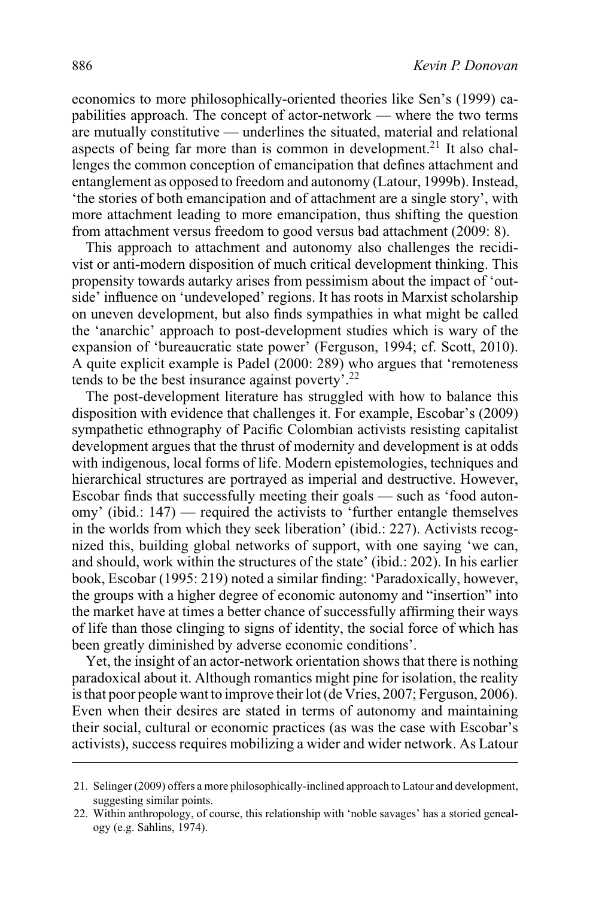economics to more philosophically-oriented theories like Sen's (1999) capabilities approach. The concept of actor-network — where the two terms are mutually constitutive — underlines the situated, material and relational aspects of being far more than is common in development.<sup>21</sup> It also challenges the common conception of emancipation that defines attachment and entanglement as opposed to freedom and autonomy (Latour, 1999b). Instead, 'the stories of both emancipation and of attachment are a single story', with more attachment leading to more emancipation, thus shifting the question from attachment versus freedom to good versus bad attachment (2009: 8).

This approach to attachment and autonomy also challenges the recidivist or anti-modern disposition of much critical development thinking. This propensity towards autarky arises from pessimism about the impact of 'outside' influence on 'undeveloped' regions. It has roots in Marxist scholarship on uneven development, but also finds sympathies in what might be called the 'anarchic' approach to post-development studies which is wary of the expansion of 'bureaucratic state power' (Ferguson, 1994; cf. Scott, 2010). A quite explicit example is Padel (2000: 289) who argues that 'remoteness tends to be the best insurance against poverty'.<sup>22</sup>

The post-development literature has struggled with how to balance this disposition with evidence that challenges it. For example, Escobar's (2009) sympathetic ethnography of Pacific Colombian activists resisting capitalist development argues that the thrust of modernity and development is at odds with indigenous, local forms of life. Modern epistemologies, techniques and hierarchical structures are portrayed as imperial and destructive. However, Escobar finds that successfully meeting their goals — such as 'food autonomy' (ibid.: 147) — required the activists to 'further entangle themselves in the worlds from which they seek liberation' (ibid.: 227). Activists recognized this, building global networks of support, with one saying 'we can, and should, work within the structures of the state' (ibid.: 202). In his earlier book, Escobar (1995: 219) noted a similar finding: 'Paradoxically, however, the groups with a higher degree of economic autonomy and "insertion" into the market have at times a better chance of successfully affirming their ways of life than those clinging to signs of identity, the social force of which has been greatly diminished by adverse economic conditions'.

Yet, the insight of an actor-network orientation shows that there is nothing paradoxical about it. Although romantics might pine for isolation, the reality is that poor people want to improve their lot (de Vries, 2007; Ferguson, 2006). Even when their desires are stated in terms of autonomy and maintaining their social, cultural or economic practices (as was the case with Escobar's activists), success requires mobilizing a wider and wider network. As Latour

<sup>21.</sup> Selinger (2009) offers a more philosophically-inclined approach to Latour and development, suggesting similar points.

<sup>22.</sup> Within anthropology, of course, this relationship with 'noble savages' has a storied genealogy (e.g. Sahlins, 1974).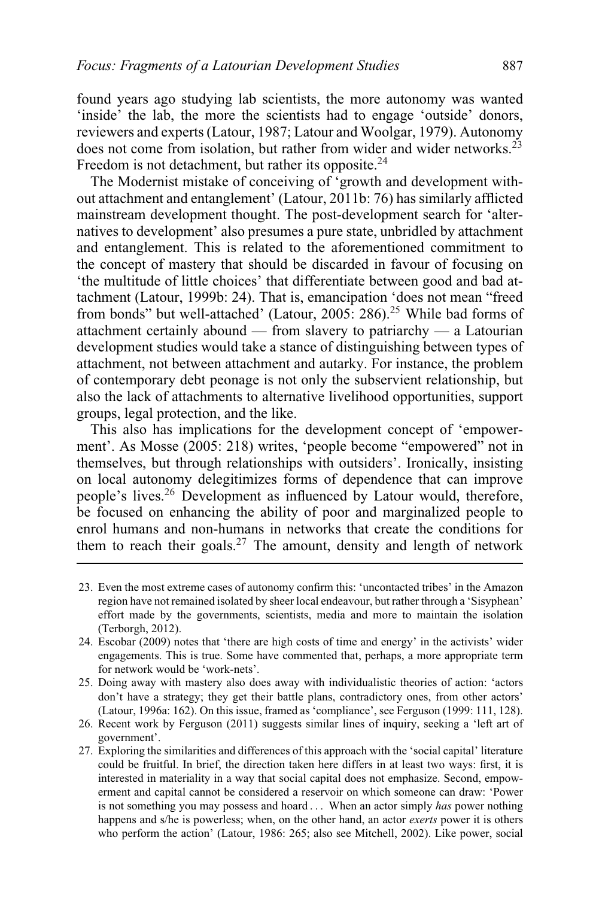found years ago studying lab scientists, the more autonomy was wanted 'inside' the lab, the more the scientists had to engage 'outside' donors, reviewers and experts (Latour, 1987; Latour and Woolgar, 1979). Autonomy does not come from isolation, but rather from wider and wider networks.<sup>23</sup> Freedom is not detachment, but rather its opposite. $24$ 

The Modernist mistake of conceiving of 'growth and development without attachment and entanglement' (Latour, 2011b: 76) has similarly afflicted mainstream development thought. The post-development search for 'alternatives to development' also presumes a pure state, unbridled by attachment and entanglement. This is related to the aforementioned commitment to the concept of mastery that should be discarded in favour of focusing on 'the multitude of little choices' that differentiate between good and bad attachment (Latour, 1999b: 24). That is, emancipation 'does not mean "freed from bonds" but well-attached' (Latour, 2005: 286).<sup>25</sup> While bad forms of attachment certainly abound — from slavery to patriarchy — a Latourian development studies would take a stance of distinguishing between types of attachment, not between attachment and autarky. For instance, the problem of contemporary debt peonage is not only the subservient relationship, but also the lack of attachments to alternative livelihood opportunities, support groups, legal protection, and the like.

This also has implications for the development concept of 'empowerment'. As Mosse (2005: 218) writes, 'people become "empowered" not in themselves, but through relationships with outsiders'. Ironically, insisting on local autonomy delegitimizes forms of dependence that can improve people's lives.26 Development as influenced by Latour would, therefore, be focused on enhancing the ability of poor and marginalized people to enrol humans and non-humans in networks that create the conditions for them to reach their goals.<sup>27</sup> The amount, density and length of network

- 26. Recent work by Ferguson (2011) suggests similar lines of inquiry, seeking a 'left art of government'.
- 27. Exploring the similarities and differences of this approach with the 'social capital' literature could be fruitful. In brief, the direction taken here differs in at least two ways: first, it is interested in materiality in a way that social capital does not emphasize. Second, empowerment and capital cannot be considered a reservoir on which someone can draw: 'Power is not something you may possess and hoard . . . When an actor simply *has* power nothing happens and s/he is powerless; when, on the other hand, an actor *exerts* power it is others who perform the action' (Latour, 1986: 265; also see Mitchell, 2002). Like power, social

<sup>23.</sup> Even the most extreme cases of autonomy confirm this: 'uncontacted tribes' in the Amazon region have not remained isolated by sheer local endeavour, but rather through a 'Sisyphean' effort made by the governments, scientists, media and more to maintain the isolation (Terborgh, 2012).

<sup>24.</sup> Escobar (2009) notes that 'there are high costs of time and energy' in the activists' wider engagements. This is true. Some have commented that, perhaps, a more appropriate term for network would be 'work-nets'.

<sup>25.</sup> Doing away with mastery also does away with individualistic theories of action: 'actors don't have a strategy; they get their battle plans, contradictory ones, from other actors' (Latour, 1996a: 162). On this issue, framed as 'compliance', see Ferguson (1999: 111, 128).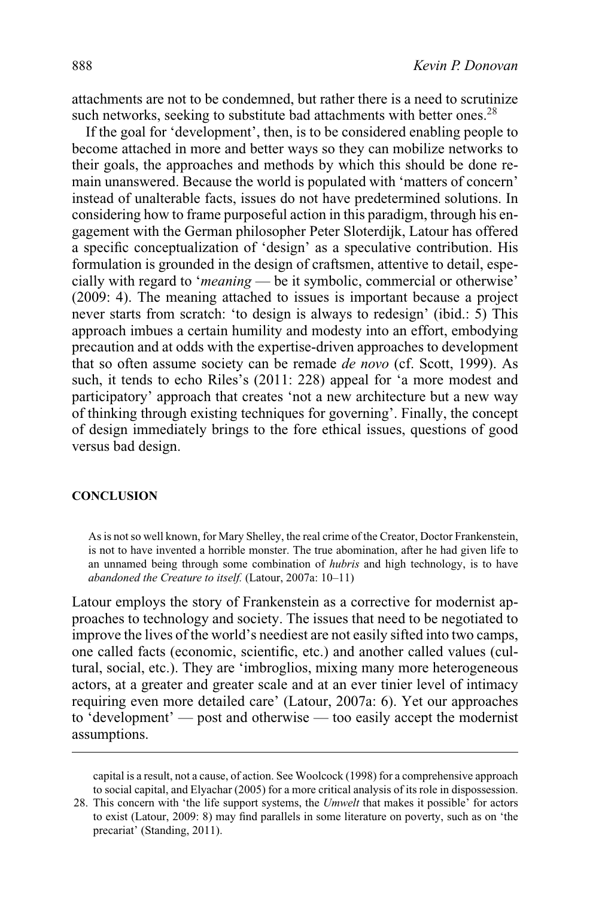attachments are not to be condemned, but rather there is a need to scrutinize such networks, seeking to substitute bad attachments with better ones.<sup>28</sup>

If the goal for 'development', then, is to be considered enabling people to become attached in more and better ways so they can mobilize networks to their goals, the approaches and methods by which this should be done remain unanswered. Because the world is populated with 'matters of concern' instead of unalterable facts, issues do not have predetermined solutions. In considering how to frame purposeful action in this paradigm, through his engagement with the German philosopher Peter Sloterdijk, Latour has offered a specific conceptualization of 'design' as a speculative contribution. His formulation is grounded in the design of craftsmen, attentive to detail, especially with regard to '*meaning* — be it symbolic, commercial or otherwise' (2009: 4). The meaning attached to issues is important because a project never starts from scratch: 'to design is always to redesign' (ibid.: 5) This approach imbues a certain humility and modesty into an effort, embodying precaution and at odds with the expertise-driven approaches to development that so often assume society can be remade *de novo* (cf. Scott, 1999). As such, it tends to echo Riles's (2011: 228) appeal for 'a more modest and participatory' approach that creates 'not a new architecture but a new way of thinking through existing techniques for governing'. Finally, the concept of design immediately brings to the fore ethical issues, questions of good versus bad design.

#### **CONCLUSION**

As is not so well known, for Mary Shelley, the real crime of the Creator, Doctor Frankenstein, is not to have invented a horrible monster. The true abomination, after he had given life to an unnamed being through some combination of *hubris* and high technology, is to have *abandoned the Creature to itself.* (Latour, 2007a: 10–11)

Latour employs the story of Frankenstein as a corrective for modernist approaches to technology and society. The issues that need to be negotiated to improve the lives of the world's neediest are not easily sifted into two camps, one called facts (economic, scientific, etc.) and another called values (cultural, social, etc.). They are 'imbroglios, mixing many more heterogeneous actors, at a greater and greater scale and at an ever tinier level of intimacy requiring even more detailed care' (Latour, 2007a: 6). Yet our approaches to 'development' — post and otherwise — too easily accept the modernist assumptions.

capital is a result, not a cause, of action. See Woolcock (1998) for a comprehensive approach to social capital, and Elyachar (2005) for a more critical analysis of its role in dispossession.

<sup>28.</sup> This concern with 'the life support systems, the *Umwelt* that makes it possible' for actors to exist (Latour, 2009: 8) may find parallels in some literature on poverty, such as on 'the precariat' (Standing, 2011).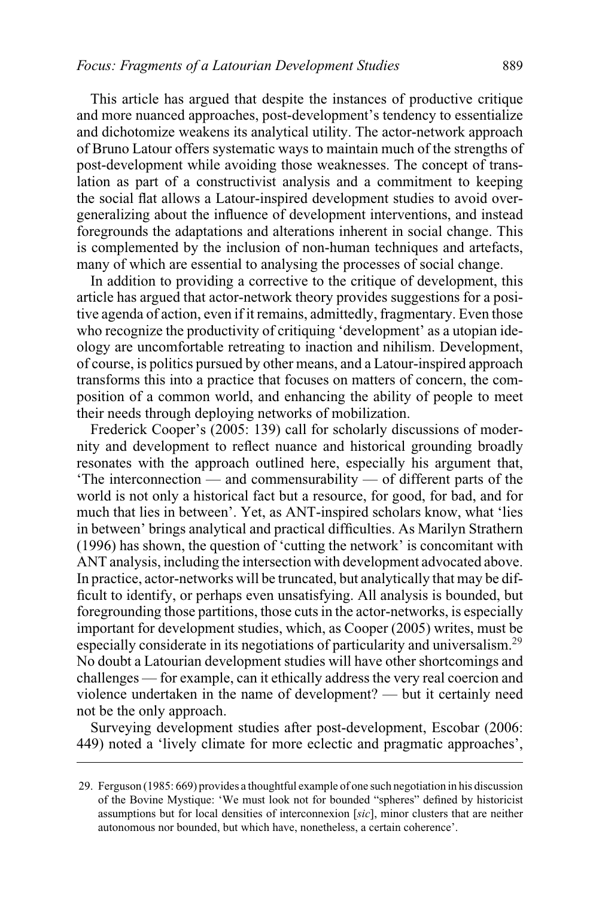This article has argued that despite the instances of productive critique and more nuanced approaches, post-development's tendency to essentialize and dichotomize weakens its analytical utility. The actor-network approach of Bruno Latour offers systematic ways to maintain much of the strengths of post-development while avoiding those weaknesses. The concept of translation as part of a constructivist analysis and a commitment to keeping the social flat allows a Latour-inspired development studies to avoid overgeneralizing about the influence of development interventions, and instead foregrounds the adaptations and alterations inherent in social change. This is complemented by the inclusion of non-human techniques and artefacts, many of which are essential to analysing the processes of social change.

In addition to providing a corrective to the critique of development, this article has argued that actor-network theory provides suggestions for a positive agenda of action, even if it remains, admittedly, fragmentary. Even those who recognize the productivity of critiquing 'development' as a utopian ideology are uncomfortable retreating to inaction and nihilism. Development, of course, is politics pursued by other means, and a Latour-inspired approach transforms this into a practice that focuses on matters of concern, the composition of a common world, and enhancing the ability of people to meet their needs through deploying networks of mobilization.

Frederick Cooper's (2005: 139) call for scholarly discussions of modernity and development to reflect nuance and historical grounding broadly resonates with the approach outlined here, especially his argument that, 'The interconnection — and commensurability — of different parts of the world is not only a historical fact but a resource, for good, for bad, and for much that lies in between'. Yet, as ANT-inspired scholars know, what 'lies in between' brings analytical and practical difficulties. As Marilyn Strathern (1996) has shown, the question of 'cutting the network' is concomitant with ANT analysis, including the intersection with development advocated above. In practice, actor-networks will be truncated, but analytically that may be difficult to identify, or perhaps even unsatisfying. All analysis is bounded, but foregrounding those partitions, those cuts in the actor-networks, is especially important for development studies, which, as Cooper (2005) writes, must be especially considerate in its negotiations of particularity and universalism.29 No doubt a Latourian development studies will have other shortcomings and challenges — for example, can it ethically address the very real coercion and violence undertaken in the name of development? — but it certainly need not be the only approach.

Surveying development studies after post-development, Escobar (2006: 449) noted a 'lively climate for more eclectic and pragmatic approaches',

<sup>29.</sup> Ferguson (1985: 669) provides a thoughtful example of one such negotiation in his discussion of the Bovine Mystique: 'We must look not for bounded "spheres" defined by historicist assumptions but for local densities of interconnexion [*sic*], minor clusters that are neither autonomous nor bounded, but which have, nonetheless, a certain coherence'.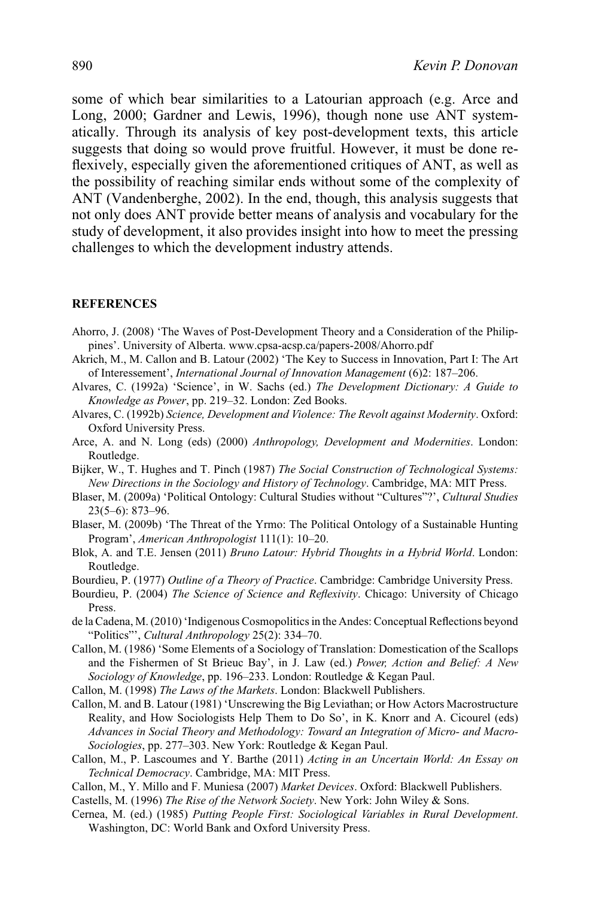some of which bear similarities to a Latourian approach (e.g. Arce and Long, 2000; Gardner and Lewis, 1996), though none use ANT systematically. Through its analysis of key post-development texts, this article suggests that doing so would prove fruitful. However, it must be done reflexively, especially given the aforementioned critiques of ANT, as well as the possibility of reaching similar ends without some of the complexity of ANT (Vandenberghe, 2002). In the end, though, this analysis suggests that not only does ANT provide better means of analysis and vocabulary for the study of development, it also provides insight into how to meet the pressing challenges to which the development industry attends.

## **REFERENCES**

- Ahorro, J. (2008) 'The Waves of Post-Development Theory and a Consideration of the Philippines'. University of Alberta. www.cpsa-acsp.ca/papers-2008/Ahorro.pdf
- Akrich, M., M. Callon and B. Latour (2002) 'The Key to Success in Innovation, Part I: The Art of Interessement', *International Journal of Innovation Management* (6)2: 187–206.
- Alvares, C. (1992a) 'Science', in W. Sachs (ed.) *The Development Dictionary: A Guide to Knowledge as Power*, pp. 219–32. London: Zed Books.
- Alvares, C. (1992b) *Science, Development and Violence: The Revolt against Modernity*. Oxford: Oxford University Press.
- Arce, A. and N. Long (eds) (2000) *Anthropology, Development and Modernities*. London: Routledge.
- Bijker, W., T. Hughes and T. Pinch (1987) *The Social Construction of Technological Systems: New Directions in the Sociology and History of Technology*. Cambridge, MA: MIT Press.
- Blaser, M. (2009a) 'Political Ontology: Cultural Studies without "Cultures"?', *Cultural Studies* 23(5–6): 873–96.
- Blaser, M. (2009b) 'The Threat of the Yrmo: The Political Ontology of a Sustainable Hunting Program', *American Anthropologist* 111(1): 10–20.
- Blok, A. and T.E. Jensen (2011) *Bruno Latour: Hybrid Thoughts in a Hybrid World*. London: Routledge.
- Bourdieu, P. (1977) *Outline of a Theory of Practice*. Cambridge: Cambridge University Press.
- Bourdieu, P. (2004) *The Science of Science and Reflexivity*. Chicago: University of Chicago Press.
- de la Cadena, M. (2010) 'Indigenous Cosmopolitics in the Andes: Conceptual Reflections beyond "Politics"', *Cultural Anthropology* 25(2): 334–70.
- Callon, M. (1986) 'Some Elements of a Sociology of Translation: Domestication of the Scallops and the Fishermen of St Brieuc Bay', in J. Law (ed.) *Power, Action and Belief: A New Sociology of Knowledge*, pp. 196–233. London: Routledge & Kegan Paul.
- Callon, M. (1998) *The Laws of the Markets*. London: Blackwell Publishers.
- Callon, M. and B. Latour (1981) 'Unscrewing the Big Leviathan; or How Actors Macrostructure Reality, and How Sociologists Help Them to Do So', in K. Knorr and A. Cicourel (eds) *Advances in Social Theory and Methodology: Toward an Integration of Micro- and Macro-Sociologies*, pp. 277–303. New York: Routledge & Kegan Paul.
- Callon, M., P. Lascoumes and Y. Barthe (2011) *Acting in an Uncertain World: An Essay on Technical Democracy*. Cambridge, MA: MIT Press.
- Callon, M., Y. Millo and F. Muniesa (2007) *Market Devices*. Oxford: Blackwell Publishers.
- Castells, M. (1996) *The Rise of the Network Society*. New York: John Wiley & Sons.
- Cernea, M. (ed.) (1985) *Putting People First: Sociological Variables in Rural Development*. Washington, DC: World Bank and Oxford University Press.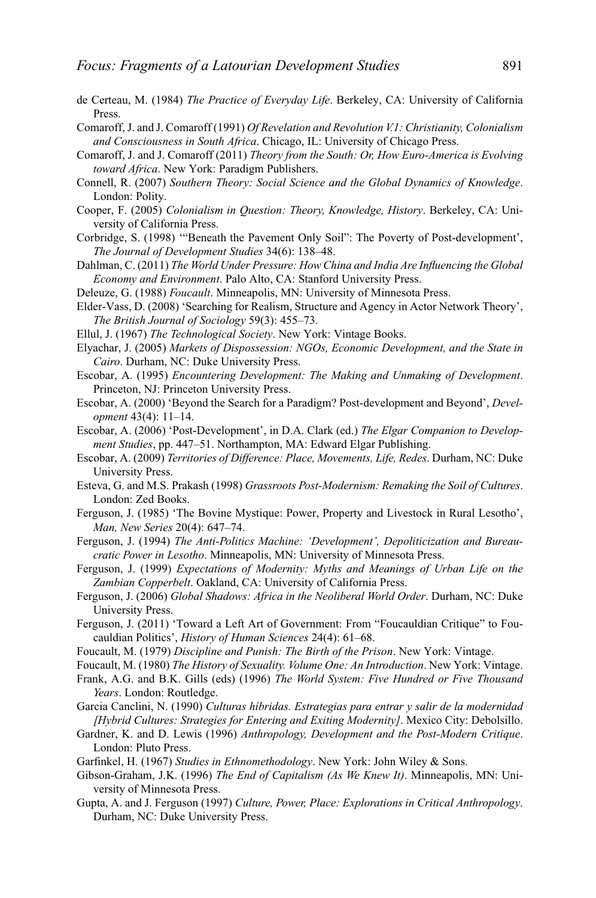- de Certeau, M. (1984) *The Practice of Everyday Life*. Berkeley, CA: University of California Press.
- Comaroff, J. and J. Comaroff (1991) *Of Revelation and Revolution V.1: Christianity, Colonialism and Consciousness in South Africa*. Chicago, IL: University of Chicago Press.
- Comaroff, J. and J. Comaroff (2011) *Theory from the South: Or, How Euro-America is Evolving toward Africa*. New York: Paradigm Publishers.
- Connell, R. (2007) *Southern Theory: Social Science and the Global Dynamics of Knowledge*. London: Polity.
- Cooper, F. (2005) *Colonialism in Question: Theory, Knowledge, History*. Berkeley, CA: University of California Press.
- Corbridge, S. (1998) '"Beneath the Pavement Only Soil": The Poverty of Post-development', *The Journal of Development Studies* 34(6): 138–48.
- Dahlman, C. (2011) *The World Under Pressure: How China and India Are Influencing the Global Economy and Environment*. Palo Alto, CA: Stanford University Press.
- Deleuze, G. (1988) *Foucault*. Minneapolis, MN: University of Minnesota Press.
- Elder-Vass, D. (2008) 'Searching for Realism, Structure and Agency in Actor Network Theory', *The British Journal of Sociology* 59(3): 455–73.
- Ellul, J. (1967) *The Technological Society*. New York: Vintage Books.
- Elyachar, J. (2005) *Markets of Dispossession: NGOs, Economic Development, and the State in Cairo*. Durham, NC: Duke University Press.
- Escobar, A. (1995) *Encountering Development: The Making and Unmaking of Development*. Princeton, NJ: Princeton University Press.
- Escobar, A. (2000) 'Beyond the Search for a Paradigm? Post-development and Beyond', *Development* 43(4): 11–14.
- Escobar, A. (2006) 'Post-Development', in D.A. Clark (ed.) *The Elgar Companion to Development Studies*, pp. 447–51. Northampton, MA: Edward Elgar Publishing.
- Escobar, A. (2009) *Territories of Difference: Place, Movements, Life, Redes*. Durham, NC: Duke University Press.
- Esteva, G. and M.S. Prakash (1998) *Grassroots Post-Modernism: Remaking the Soil of Cultures*. London: Zed Books.
- Ferguson, J. (1985) 'The Bovine Mystique: Power, Property and Livestock in Rural Lesotho', *Man, New Series* 20(4): 647–74.
- Ferguson, J. (1994) *The Anti-Politics Machine: 'Development', Depoliticization and Bureaucratic Power in Lesotho*. Minneapolis, MN: University of Minnesota Press.
- Ferguson, J. (1999) *Expectations of Modernity: Myths and Meanings of Urban Life on the Zambian Copperbelt*. Oakland, CA: University of California Press.
- Ferguson, J. (2006) *Global Shadows: Africa in the Neoliberal World Order*. Durham, NC: Duke University Press.
- Ferguson, J. (2011) 'Toward a Left Art of Government: From "Foucauldian Critique" to Foucauldian Politics', *History of Human Sciences* 24(4): 61–68.
- Foucault, M. (1979) *Discipline and Punish: The Birth of the Prison*. New York: Vintage.
- Foucault, M. (1980) *The History of Sexuality. Volume One: An Introduction*. New York: Vintage.
- Frank, A.G. and B.K. Gills (eds) (1996) *The World System: Five Hundred or Five Thousand Years*. London: Routledge.
- Garcia Canclini, N. (1990) *Culturas h´ıbridas. Estrategias para entrar y salir de la modernidad [Hybrid Cultures: Strategies for Entering and Exiting Modernity]*. Mexico City: Debolsillo.
- Gardner, K. and D. Lewis (1996) *Anthropology, Development and the Post-Modern Critique*. London: Pluto Press.
- Garfinkel, H. (1967) *Studies in Ethnomethodology*. New York: John Wiley & Sons.
- Gibson-Graham, J.K. (1996) *The End of Capitalism (As We Knew It)*. Minneapolis, MN: University of Minnesota Press.
- Gupta, A. and J. Ferguson (1997) *Culture, Power, Place: Explorations in Critical Anthropology*. Durham, NC: Duke University Press.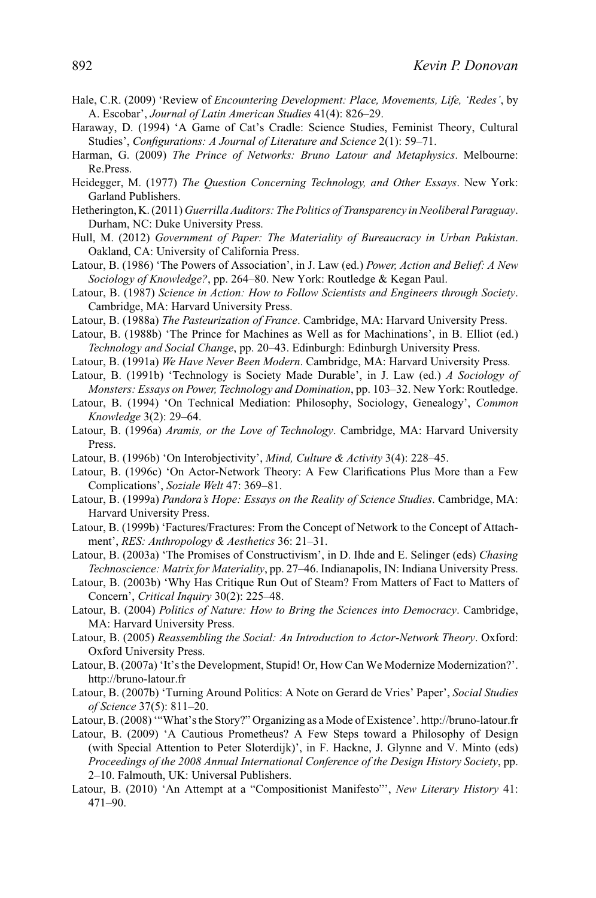- Hale, C.R. (2009) 'Review of *Encountering Development: Place, Movements, Life, 'Redes'*, by A. Escobar', *Journal of Latin American Studies* 41(4): 826–29.
- Haraway, D. (1994) 'A Game of Cat's Cradle: Science Studies, Feminist Theory, Cultural Studies', *Configurations: A Journal of Literature and Science* 2(1): 59–71.
- Harman, G. (2009) *The Prince of Networks: Bruno Latour and Metaphysics*. Melbourne: Re.Press.
- Heidegger, M. (1977) *The Question Concerning Technology, and Other Essays*. New York: Garland Publishers.
- Hetherington, K. (2011) *Guerrilla Auditors: The Politics of Transparency in Neoliberal Paraguay*. Durham, NC: Duke University Press.
- Hull, M. (2012) *Government of Paper: The Materiality of Bureaucracy in Urban Pakistan*. Oakland, CA: University of California Press.
- Latour, B. (1986) 'The Powers of Association', in J. Law (ed.) *Power, Action and Belief: A New Sociology of Knowledge?*, pp. 264–80. New York: Routledge & Kegan Paul.
- Latour, B. (1987) *Science in Action: How to Follow Scientists and Engineers through Society*. Cambridge, MA: Harvard University Press.
- Latour, B. (1988a) *The Pasteurization of France*. Cambridge, MA: Harvard University Press.
- Latour, B. (1988b) 'The Prince for Machines as Well as for Machinations', in B. Elliot (ed.) *Technology and Social Change*, pp. 20–43. Edinburgh: Edinburgh University Press.
- Latour, B. (1991a) *We Have Never Been Modern*. Cambridge, MA: Harvard University Press.
- Latour, B. (1991b) 'Technology is Society Made Durable', in J. Law (ed.) *A Sociology of Monsters: Essays on Power, Technology and Domination*, pp. 103–32. New York: Routledge.
- Latour, B. (1994) 'On Technical Mediation: Philosophy, Sociology, Genealogy', *Common Knowledge* 3(2): 29–64.
- Latour, B. (1996a) *Aramis, or the Love of Technology*. Cambridge, MA: Harvard University Press.
- Latour, B. (1996b) 'On Interobjectivity', *Mind, Culture & Activity* 3(4): 228–45.
- Latour, B. (1996c) 'On Actor-Network Theory: A Few Clarifications Plus More than a Few Complications', *Soziale Welt* 47: 369–81.
- Latour, B. (1999a) *Pandora's Hope: Essays on the Reality of Science Studies*. Cambridge, MA: Harvard University Press.
- Latour, B. (1999b) 'Factures/Fractures: From the Concept of Network to the Concept of Attachment', *RES: Anthropology & Aesthetics* 36: 21–31.
- Latour, B. (2003a) 'The Promises of Constructivism', in D. Ihde and E. Selinger (eds) *Chasing Technoscience: Matrix for Materiality*, pp. 27–46. Indianapolis, IN: Indiana University Press.
- Latour, B. (2003b) 'Why Has Critique Run Out of Steam? From Matters of Fact to Matters of Concern', *Critical Inquiry* 30(2): 225–48.
- Latour, B. (2004) *Politics of Nature: How to Bring the Sciences into Democracy*. Cambridge, MA: Harvard University Press.
- Latour, B. (2005) *Reassembling the Social: An Introduction to Actor-Network Theory*. Oxford: Oxford University Press.
- Latour, B. (2007a) 'It's the Development, Stupid! Or, How Can We Modernize Modernization?'. http://bruno-latour.fr
- Latour, B. (2007b) 'Turning Around Politics: A Note on Gerard de Vries' Paper', *Social Studies of Science* 37(5): 811–20.
- Latour, B. (2008) '"What's the Story?" Organizing as a Mode of Existence'. http://bruno-latour.fr
- Latour, B. (2009) 'A Cautious Prometheus? A Few Steps toward a Philosophy of Design (with Special Attention to Peter Sloterdijk)', in F. Hackne, J. Glynne and V. Minto (eds) *Proceedings of the 2008 Annual International Conference of the Design History Society*, pp. 2–10. Falmouth, UK: Universal Publishers.
- Latour, B. (2010) 'An Attempt at a "Compositionist Manifesto"', *New Literary History* 41: 471–90.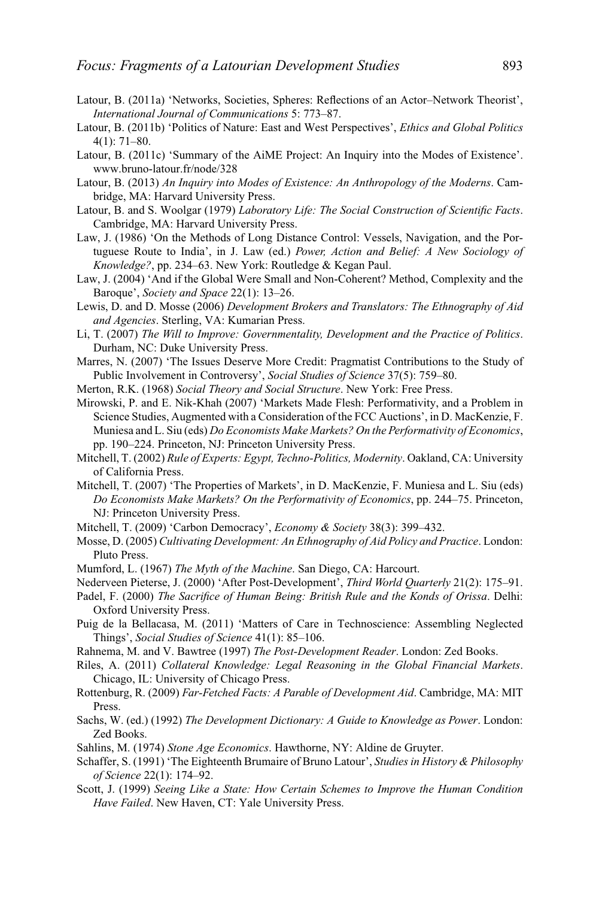- Latour, B. (2011a) 'Networks, Societies, Spheres: Reflections of an Actor–Network Theorist', *International Journal of Communications* 5: 773–87.
- Latour, B. (2011b) 'Politics of Nature: East and West Perspectives', *Ethics and Global Politics* 4(1): 71–80.
- Latour, B. (2011c) 'Summary of the AiME Project: An Inquiry into the Modes of Existence'. www.bruno-latour.fr/node/328
- Latour, B. (2013) *An Inquiry into Modes of Existence: An Anthropology of the Moderns*. Cambridge, MA: Harvard University Press.
- Latour, B. and S. Woolgar (1979) *Laboratory Life: The Social Construction of Scientific Facts*. Cambridge, MA: Harvard University Press.
- Law, J. (1986) 'On the Methods of Long Distance Control: Vessels, Navigation, and the Portuguese Route to India', in J. Law (ed.) *Power, Action and Belief: A New Sociology of Knowledge?*, pp. 234–63. New York: Routledge & Kegan Paul.
- Law, J. (2004) 'And if the Global Were Small and Non-Coherent? Method, Complexity and the Baroque', *Society and Space* 22(1): 13–26.
- Lewis, D. and D. Mosse (2006) *Development Brokers and Translators: The Ethnography of Aid and Agencies*. Sterling, VA: Kumarian Press.
- Li, T. (2007) *The Will to Improve: Governmentality, Development and the Practice of Politics*. Durham, NC: Duke University Press.
- Marres, N. (2007) 'The Issues Deserve More Credit: Pragmatist Contributions to the Study of Public Involvement in Controversy', *Social Studies of Science* 37(5): 759–80.
- Merton, R.K. (1968) *Social Theory and Social Structure*. New York: Free Press.
- Mirowski, P. and E. Nik-Khah (2007) 'Markets Made Flesh: Performativity, and a Problem in Science Studies, Augmented with a Consideration of the FCC Auctions', in D. MacKenzie, F. Muniesa and L. Siu (eds) *Do Economists Make Markets? On the Performativity of Economics*, pp. 190–224. Princeton, NJ: Princeton University Press.
- Mitchell, T. (2002) *Rule of Experts: Egypt, Techno-Politics, Modernity*. Oakland, CA: University of California Press.
- Mitchell, T. (2007) 'The Properties of Markets', in D. MacKenzie, F. Muniesa and L. Siu (eds) *Do Economists Make Markets? On the Performativity of Economics*, pp. 244–75. Princeton, NJ: Princeton University Press.
- Mitchell, T. (2009) 'Carbon Democracy', *Economy & Society* 38(3): 399–432.
- Mosse, D. (2005) *Cultivating Development: An Ethnography of Aid Policy and Practice*. London: Pluto Press.
- Mumford, L. (1967) *The Myth of the Machine*. San Diego, CA: Harcourt.
- Nederveen Pieterse, J. (2000) 'After Post-Development', *Third World Quarterly* 21(2): 175–91.
- Padel, F. (2000) *The Sacrifice of Human Being: British Rule and the Konds of Orissa*. Delhi: Oxford University Press.
- Puig de la Bellacasa, M. (2011) 'Matters of Care in Technoscience: Assembling Neglected Things', *Social Studies of Science* 41(1): 85–106.
- Rahnema, M. and V. Bawtree (1997) *The Post-Development Reader*. London: Zed Books.
- Riles, A. (2011) *Collateral Knowledge: Legal Reasoning in the Global Financial Markets*. Chicago, IL: University of Chicago Press.
- Rottenburg, R. (2009) *Far-Fetched Facts: A Parable of Development Aid*. Cambridge, MA: MIT Press.
- Sachs, W. (ed.) (1992) *The Development Dictionary: A Guide to Knowledge as Power*. London: Zed Books.
- Sahlins, M. (1974) *Stone Age Economics*. Hawthorne, NY: Aldine de Gruyter.
- Schaffer, S. (1991) 'The Eighteenth Brumaire of Bruno Latour', *Studies in History & Philosophy of Science* 22(1): 174–92.
- Scott, J. (1999) *Seeing Like a State: How Certain Schemes to Improve the Human Condition Have Failed*. New Haven, CT: Yale University Press.